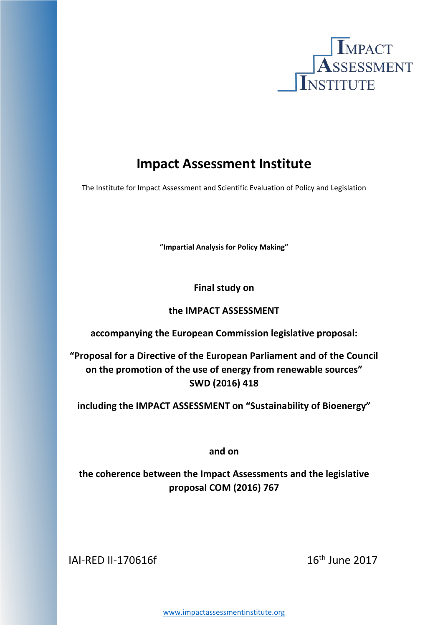

# **Impact Assessment Institute**

The Institute for Impact Assessment and Scientific Evaluation of Policy and Legislation

**"Impartial Analysis for Policy Making"**

**Final study on**

# **the IMPACT ASSESSMENT**

**accompanying the European Commission legislative proposal:**

**"Proposal for a Directive of the European Parliament and of the Council on the promotion of the use of energy from renewable sources" SWD (2016) 418**

**including the IMPACT ASSESSMENT on "Sustainability of Bioenergy"**

**and on** 

**the coherence between the Impact Assessments and the legislative proposal COM (2016) 767**

IAI-RED II-170616f 16th June 2017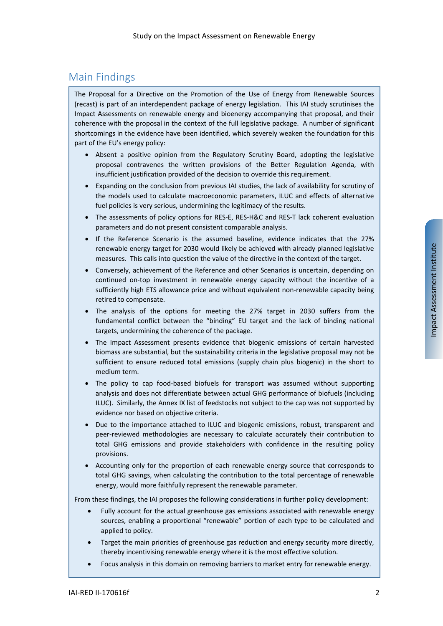# <span id="page-1-0"></span>Main Findings

The Proposal for a Directive on the Promotion of the Use of Energy from Renewable Sources (recast) is part of an interdependent package of energy legislation. This IAI study scrutinises the Impact Assessments on renewable energy and bioenergy accompanying that proposal, and their coherence with the proposal in the context of the full legislative package. A number of significant shortcomings in the evidence have been identified, which severely weaken the foundation for this part of the EU's energy policy:

- Absent a positive opinion from the Regulatory Scrutiny Board, adopting the legislative proposal contravenes the written provisions of the Better Regulation Agenda, with insufficient justification provided of the decision to override this requirement.
- Expanding on the conclusion from previous IAI studies, the lack of availability for scrutiny of the models used to calculate macroeconomic parameters, ILUC and effects of alternative fuel policies is very serious, undermining the legitimacy of the results.
- The assessments of policy options for RES-E, RES-H&C and RES-T lack coherent evaluation parameters and do not present consistent comparable analysis.
- If the Reference Scenario is the assumed baseline, evidence indicates that the 27% renewable energy target for 2030 would likely be achieved with already planned legislative measures. This calls into question the value of the directive in the context of the target.
- Conversely, achievement of the Reference and other Scenarios is uncertain, depending on continued on-top investment in renewable energy capacity without the incentive of a sufficiently high ETS allowance price and without equivalent non-renewable capacity being retired to compensate.
- The analysis of the options for meeting the 27% target in 2030 suffers from the fundamental conflict between the "binding" EU target and the lack of binding national targets, undermining the coherence of the package.
- The Impact Assessment presents evidence that biogenic emissions of certain harvested biomass are substantial, but the sustainability criteria in the legislative proposal may not be sufficient to ensure reduced total emissions (supply chain plus biogenic) in the short to medium term.
- The policy to cap food-based biofuels for transport was assumed without supporting analysis and does not differentiate between actual GHG performance of biofuels (including ILUC). Similarly, the Annex IX list of feedstocks not subject to the cap was not supported by evidence nor based on objective criteria.
- Due to the importance attached to ILUC and biogenic emissions, robust, transparent and peer-reviewed methodologies are necessary to calculate accurately their contribution to total GHG emissions and provide stakeholders with confidence in the resulting policy provisions.
- Accounting only for the proportion of each renewable energy source that corresponds to total GHG savings, when calculating the contribution to the total percentage of renewable energy, would more faithfully represent the renewable parameter.

From these findings, the IAI proposes the following considerations in further policy development:

- Fully account for the actual greenhouse gas emissions associated with renewable energy sources, enabling a proportional "renewable" portion of each type to be calculated and applied to policy.
- Target the main priorities of greenhouse gas reduction and energy security more directly, thereby incentivising renewable energy where it is the most effective solution.
- Focus analysis in this domain on removing barriers to market entry for renewable energy.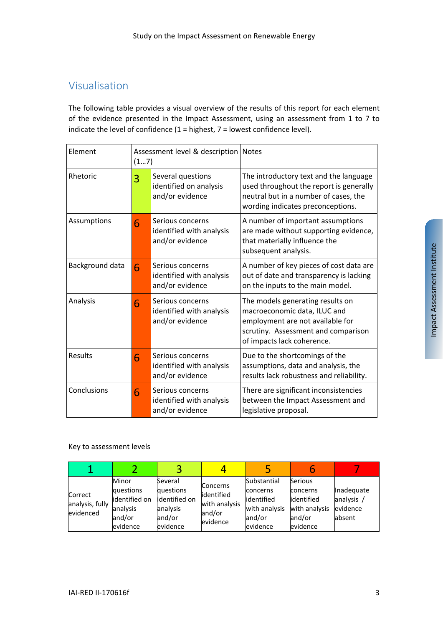# <span id="page-2-0"></span>Visualisation

The following table provides a visual overview of the results of this report for each element of the evidence presented in the Impact Assessment, using an assessment from 1 to 7 to indicate the level of confidence  $(1 =$  highest,  $7 =$  lowest confidence level).

| Element         | Assessment level & description   Notes<br>(17) |                                                                 |                                                                                                                                                                           |
|-----------------|------------------------------------------------|-----------------------------------------------------------------|---------------------------------------------------------------------------------------------------------------------------------------------------------------------------|
| Rhetoric        | 3                                              | Several questions<br>identified on analysis<br>and/or evidence  | The introductory text and the language<br>used throughout the report is generally<br>neutral but in a number of cases, the<br>wording indicates preconceptions.           |
| Assumptions     | 6                                              | Serious concerns<br>identified with analysis<br>and/or evidence | A number of important assumptions<br>are made without supporting evidence,<br>that materially influence the<br>subsequent analysis.                                       |
| Background data | 6                                              | Serious concerns<br>identified with analysis<br>and/or evidence | A number of key pieces of cost data are<br>out of date and transparency is lacking<br>on the inputs to the main model.                                                    |
| Analysis        | 6                                              | Serious concerns<br>identified with analysis<br>and/or evidence | The models generating results on<br>macroeconomic data, ILUC and<br>employment are not available for<br>scrutiny. Assessment and comparison<br>of impacts lack coherence. |
| <b>Results</b>  | 6                                              | Serious concerns<br>identified with analysis<br>and/or evidence | Due to the shortcomings of the<br>assumptions, data and analysis, the<br>results lack robustness and reliability.                                                         |
| Conclusions     | 6                                              | Serious concerns<br>identified with analysis<br>and/or evidence | There are significant inconsistencies<br>between the Impact Assessment and<br>legislative proposal.                                                                       |

## Key to assessment levels

| Correct<br>analysis, fully<br>evidenced | Minor<br>questions<br>identified on<br>analysis<br>and/or<br>evidence | Several<br>questions<br>identified on<br>analysis<br>and/or<br>evidence | <b>Concerns</b><br>identified<br>with analysis<br>and/or<br>evidence | Substantial<br>concerns<br>lidentified<br>with analysis<br>and/or<br>evidence | Serious<br>concerns<br>lidentified<br>with analysis<br>and/or<br>evidence | Inadequate<br>analysis<br>evidence<br>labsent |
|-----------------------------------------|-----------------------------------------------------------------------|-------------------------------------------------------------------------|----------------------------------------------------------------------|-------------------------------------------------------------------------------|---------------------------------------------------------------------------|-----------------------------------------------|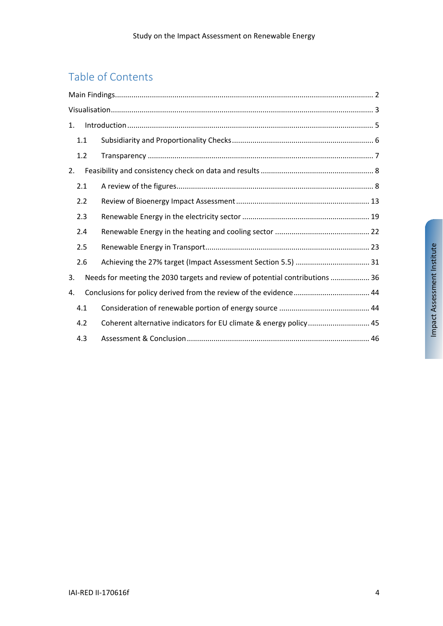# Table of Contents

| 1. |     |                                                                              |  |
|----|-----|------------------------------------------------------------------------------|--|
|    | 1.1 |                                                                              |  |
|    | 1.2 |                                                                              |  |
| 2. |     |                                                                              |  |
|    | 2.1 |                                                                              |  |
|    | 2.2 |                                                                              |  |
|    | 2.3 |                                                                              |  |
|    | 2.4 |                                                                              |  |
|    | 2.5 |                                                                              |  |
|    | 2.6 |                                                                              |  |
| 3. |     | Needs for meeting the 2030 targets and review of potential contributions  36 |  |
| 4. |     |                                                                              |  |
|    | 4.1 |                                                                              |  |
|    | 4.2 | Coherent alternative indicators for EU climate & energy policy 45            |  |
|    | 4.3 |                                                                              |  |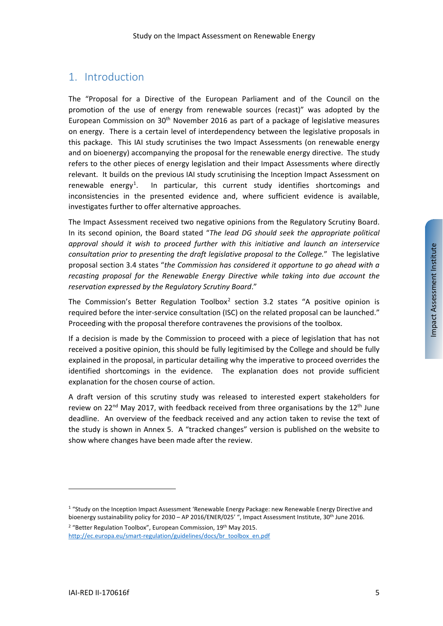# <span id="page-4-0"></span>1. Introduction

The "Proposal for a Directive of the European Parliament and of the Council on the promotion of the use of energy from renewable sources (recast)" was adopted by the European Commission on  $30<sup>th</sup>$  November 2016 as part of a package of legislative measures on energy. There is a certain level of interdependency between the legislative proposals in this package. This IAI study scrutinises the two Impact Assessments (on renewable energy and on bioenergy) accompanying the proposal for the renewable energy directive. The study refers to the other pieces of energy legislation and their Impact Assessments where directly relevant. It builds on the previous IAI study scrutinising the Inception Impact Assessment on renewable energy<sup>[1](#page-4-1)</sup>. . In particular, this current study identifies shortcomings and inconsistencies in the presented evidence and, where sufficient evidence is available, investigates further to offer alternative approaches.

The Impact Assessment received two negative opinions from the Regulatory Scrutiny Board. In its second opinion, the Board stated "*The lead DG should seek the appropriate political approval should it wish to proceed further with this initiative and launch an interservice consultation prior to presenting the draft legislative proposal to the College.*" The legislative proposal section 3.4 states "*the Commission has considered it opportune to go ahead with a recasting proposal for the Renewable Energy Directive while taking into due account the reservation expressed by the Regulatory Scrutiny Board*."

The Commission's Better Regulation Toolbox<sup>[2](#page-4-2)</sup> section 3.2 states "A positive opinion is required before the inter-service consultation (ISC) on the related proposal can be launched." Proceeding with the proposal therefore contravenes the provisions of the toolbox.

If a decision is made by the Commission to proceed with a piece of legislation that has not received a positive opinion, this should be fully legitimised by the College and should be fully explained in the proposal, in particular detailing why the imperative to proceed overrides the identified shortcomings in the evidence. The explanation does not provide sufficient explanation for the chosen course of action.

A draft version of this scrutiny study was released to interested expert stakeholders for review on 22<sup>nd</sup> May 2017, with feedback received from three organisations by the 12<sup>th</sup> June deadline. An overview of the feedback received and any action taken to revise the text of the study is shown in [Annex 5.](#page-51-0) A "tracked changes" version is published on the website to show where changes have been made after the review.

<span id="page-4-1"></span><sup>1</sup> "Study on the Inception Impact Assessment 'Renewable Energy Package: new Renewable Energy Directive and bioenergy sustainability policy for 2030 – AP 2016/ENER/025' ", Impact Assessment Institute, 30th June 2016.

<span id="page-4-2"></span><sup>&</sup>lt;sup>2</sup> "Better Regulation Toolbox", European Commission, 19<sup>th</sup> May 2015. [http://ec.europa.eu/smart-regulation/guidelines/docs/br\\_toolbox\\_en.pdf](http://ec.europa.eu/smart-regulation/guidelines/docs/br_toolbox_en.pdf)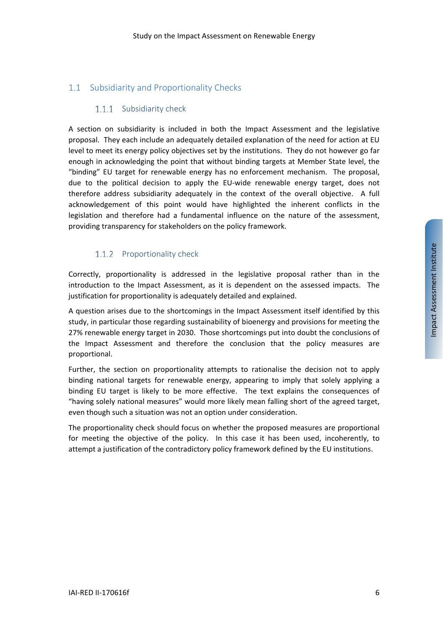# <span id="page-5-0"></span>1.1 Subsidiarity and Proportionality Checks

## 1.1.1 Subsidiarity check

A section on subsidiarity is included in both the Impact Assessment and the legislative proposal. They each include an adequately detailed explanation of the need for action at EU level to meet its energy policy objectives set by the institutions. They do not however go far enough in acknowledging the point that without binding targets at Member State level, the "binding" EU target for renewable energy has no enforcement mechanism. The proposal, due to the political decision to apply the EU-wide renewable energy target, does not therefore address subsidiarity adequately in the context of the overall objective. A full acknowledgement of this point would have highlighted the inherent conflicts in the legislation and therefore had a fundamental influence on the nature of the assessment, providing transparency for stakeholders on the policy framework.

# 1.1.2 Proportionality check

Correctly, proportionality is addressed in the legislative proposal rather than in the introduction to the Impact Assessment, as it is dependent on the assessed impacts. The justification for proportionality is adequately detailed and explained.

A question arises due to the shortcomings in the Impact Assessment itself identified by this study, in particular those regarding sustainability of bioenergy and provisions for meeting the 27% renewable energy target in 2030. Those shortcomings put into doubt the conclusions of the Impact Assessment and therefore the conclusion that the policy measures are proportional.

Further, the section on proportionality attempts to rationalise the decision not to apply binding national targets for renewable energy, appearing to imply that solely applying a binding EU target is likely to be more effective. The text explains the consequences of "having solely national measures" would more likely mean falling short of the agreed target, even though such a situation was not an option under consideration.

The proportionality check should focus on whether the proposed measures are proportional for meeting the objective of the policy. In this case it has been used, incoherently, to attempt a justification of the contradictory policy framework defined by the EU institutions.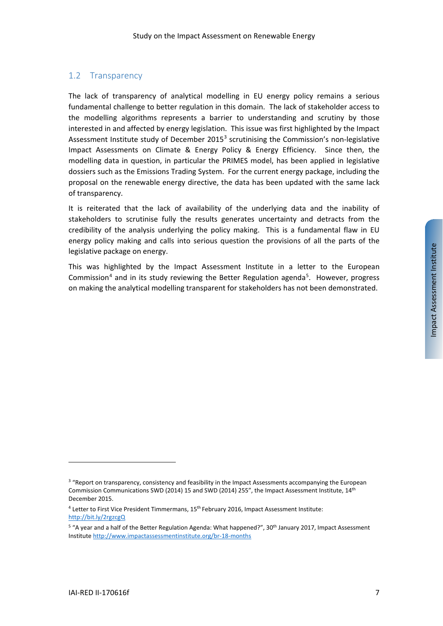# <span id="page-6-0"></span>1.2 Transparency

<span id="page-6-4"></span>The lack of transparency of analytical modelling in EU energy policy remains a serious fundamental challenge to better regulation in this domain. The lack of stakeholder access to the modelling algorithms represents a barrier to understanding and scrutiny by those interested in and affected by energy legislation. This issue was first highlighted by the Impact Assessment Institute study of December 2015 $<sup>3</sup>$  $<sup>3</sup>$  $<sup>3</sup>$  scrutinising the Commission's non-legislative</sup> Impact Assessments on Climate & Energy Policy & Energy Efficiency. Since then, the modelling data in question, in particular the PRIMES model, has been applied in legislative dossiers such as the Emissions Trading System. For the current energy package, including the proposal on the renewable energy directive, the data has been updated with the same lack of transparency.

It is reiterated that the lack of availability of the underlying data and the inability of stakeholders to scrutinise fully the results generates uncertainty and detracts from the credibility of the analysis underlying the policy making. This is a fundamental flaw in EU energy policy making and calls into serious question the provisions of all the parts of the legislative package on energy.

This was highlighted by the Impact Assessment Institute in a letter to the European Commission<sup>[4](#page-6-2)</sup> and in its study reviewing the Better Regulation agenda<sup>[5](#page-6-3)</sup>. However, progress on making the analytical modelling transparent for stakeholders has not been demonstrated.

Impact Assessment Institute

Impact Assessment Institute

l

<span id="page-6-1"></span><sup>&</sup>lt;sup>3</sup> "Report on transparency, consistency and feasibility in the Impact Assessments accompanying the European Commission Communications SWD (2014) 15 and SWD (2014) 255", the Impact Assessment Institute, 14th December 2015.

<span id="page-6-2"></span><sup>4</sup> Letter to First Vice President Timmermans, 15th February 2016, Impact Assessment Institute: <http://bit.ly/2rgzcgQ>

<span id="page-6-3"></span><sup>&</sup>lt;sup>5</sup> "A year and a half of the Better Regulation Agenda: What happened?", 30<sup>th</sup> January 2017, Impact Assessment Institute<http://www.impactassessmentinstitute.org/br-18-months>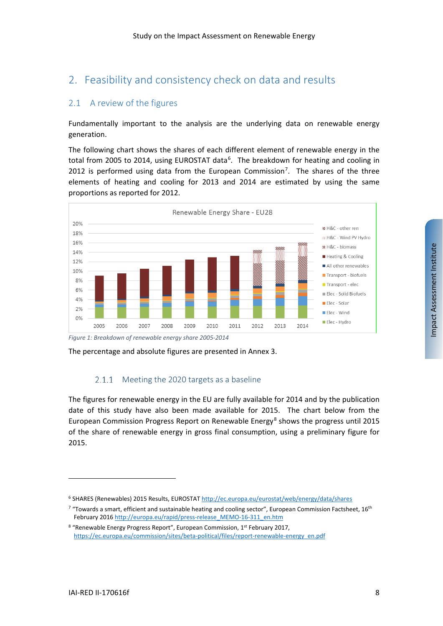# <span id="page-7-0"></span>2. Feasibility and consistency check on data and results

# <span id="page-7-1"></span>2.1 A review of the figures

Fundamentally important to the analysis are the underlying data on renewable energy generation.

<span id="page-7-5"></span>The following chart shows the shares of each different element of renewable energy in the total from 2005 to 2014, using EUROSTAT data<sup>[6](#page-7-2)</sup>. The breakdown for heating and cooling in 2012 is performed using data from the European Commission<sup>[7](#page-7-3)</sup>. The shares of the three elements of heating and cooling for 2013 and 2014 are estimated by using the same proportions as reported for 2012.



## 2.1.1 Meeting the 2020 targets as a baseline

<span id="page-7-6"></span>The figures for renewable energy in the EU are fully available for 2014 and by the publication date of this study have also been made available for 2015. The chart below from the European Commission Progress Report on Renewable Energy $8$  shows the progress until 2015 of the share of renewable energy in gross final consumption, using a preliminary figure for 2015.

The percentage and absolute figures are presented in [Annex 3.](#page-49-0)

<span id="page-7-2"></span><sup>&</sup>lt;sup>6</sup> SHARES (Renewables) 2015 Results, EUROSTA[T http://ec.europa.eu/eurostat/web/energy/data/shares](http://ec.europa.eu/eurostat/web/energy/data/shares)

<span id="page-7-3"></span> $7$  "Towards a smart, efficient and sustainable heating and cooling sector", European Commission Factsheet, 16<sup>th</sup> February 201[6 http://europa.eu/rapid/press-release\\_MEMO-16-311\\_en.htm](http://europa.eu/rapid/press-release_MEMO-16-311_en.htm)

<span id="page-7-4"></span><sup>&</sup>lt;sup>8</sup> "Renewable Energy Progress Report", European Commission, 1<sup>st</sup> February 2017, [https://ec.europa.eu/commission/sites/beta-political/files/report-renewable-energy\\_en.pdf](https://ec.europa.eu/commission/sites/beta-political/files/report-renewable-energy_en.pdf)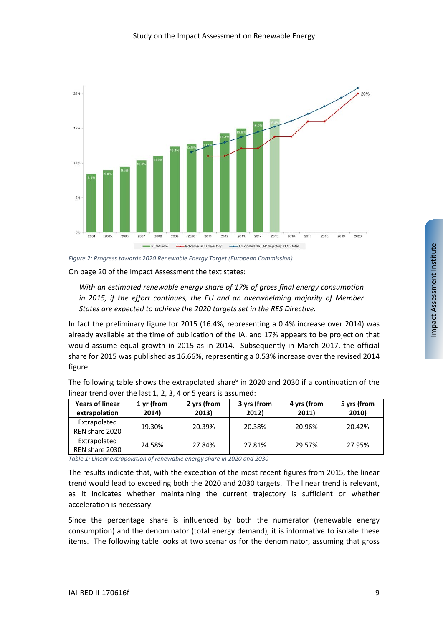

*Figure 2: Progress towards 2020 Renewable Energy Target (European Commission)*

On page 20 of the Impact Assessment the text states:

*With an estimated renewable energy share of 17% of gross final energy consumption in 2015, if the effort continues, the EU and an overwhelming majority of Member States are expected to achieve the 2020 targets set in the RES Directive.*

In fact the preliminary figure for 2015 (16.4%, representing a 0.4% increase over 2014) was already available at the time of publication of the IA, and 17% appears to be projection that would assume equal growth in 2015 as in 2014. Subsequently in March 2017, the official share for 2015 was published as 16.66%, representing a 0.53% increase over the revised 2014 figure.

The following table shows the extrapolated share<sup>6</sup> in 2020 and 2030 if a continuation of the linear trend over the last 1, 2, 3, 4 or 5 years is assumed:

| <b>Years of linear</b><br>extrapolation | 1 yr (from<br>2014) | 2 yrs (from<br>2013) | 3 yrs (from<br>2012) | 4 yrs (from<br>2011) | 5 yrs (from<br>2010) |
|-----------------------------------------|---------------------|----------------------|----------------------|----------------------|----------------------|
| Extrapolated<br>REN share 2020          | 19.30%              | 20.39%               | 20.38%               | 20.96%               | 20.42%               |
| Extrapolated<br>REN share 2030          | 24.58%              | 27.84%               | 27.81%               | 29.57%               | 27.95%               |

*Table 1: Linear extrapolation of renewable energy share in 2020 and 2030*

The results indicate that, with the exception of the most recent figures from 2015, the linear trend would lead to exceeding both the 2020 and 2030 targets. The linear trend is relevant, as it indicates whether maintaining the current trajectory is sufficient or whether acceleration is necessary.

Since the percentage share is influenced by both the numerator (renewable energy consumption) and the denominator (total energy demand), it is informative to isolate these items. The following table looks at two scenarios for the denominator, assuming that gross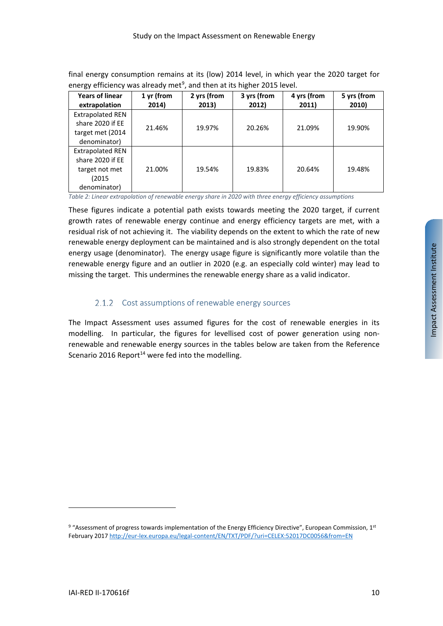final energy consumption remains at its (low) 2014 level, in which year the 2020 target for energy efficiency was already met<sup>[9](#page-9-0)</sup>, and then at its higher 2015 level.

| <b>Years of linear</b><br>extrapolation                                                | 1 yr (from<br>2014) | 2 yrs (from<br>2013) | 3 yrs (from<br>2012) | 4 yrs (from<br>2011) | 5 yrs (from<br>2010) |
|----------------------------------------------------------------------------------------|---------------------|----------------------|----------------------|----------------------|----------------------|
| <b>Extrapolated REN</b><br>share 2020 if EE<br>target met (2014<br>denominator)        | 21.46%              | 19.97%               | 20.26%               | 21.09%               | 19.90%               |
| <b>Extrapolated REN</b><br>share 2020 if EE<br>target not met<br>(2015<br>denominator) | 21.00%              | 19.54%               | 19.83%               | 20.64%               | 19.48%               |

*Table 2: Linear extrapolation of renewable energy share in 2020 with three energy efficiency assumptions*

These figures indicate a potential path exists towards meeting the 2020 target, if current growth rates of renewable energy continue and energy efficiency targets are met, with a residual risk of not achieving it. The viability depends on the extent to which the rate of new renewable energy deployment can be maintained and is also strongly dependent on the total energy usage (denominator). The energy usage figure is significantly more volatile than the renewable energy figure and an outlier in 2020 (e.g. an especially cold winter) may lead to missing the target. This undermines the renewable energy share as a valid indicator.

## 2.1.2 Cost assumptions of renewable energy sources

<span id="page-9-1"></span>The Impact Assessment uses assumed figures for the cost of renewable energies in its modelling. In particular, the figures for levellised cost of power generation using nonrenewable and renewable energy sources in the tables below are taken from the Reference Scenario 2016 Report<sup>14</sup> were fed into the modelling.

<span id="page-9-0"></span><sup>9 &</sup>quot;Assessment of progress towards implementation of the Energy Efficiency Directive", European Commission, 1st February 201[7 http://eur-lex.europa.eu/legal-content/EN/TXT/PDF/?uri=CELEX:52017DC0056&from=EN](http://eur-lex.europa.eu/legal-content/EN/TXT/PDF/?uri=CELEX:52017DC0056&from=EN)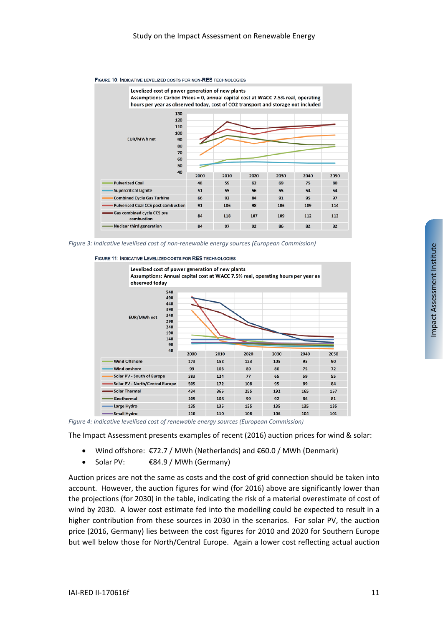

#### FIGURE 10: INDICATIVE LEVELIZED COSTS FOR NON-RES TECHNOLOGIES

*Figure 3: Indicative levellised cost of non-renewable energy sources (European Commission)*





*Figure 4: Indicative levellised cost of renewable energy sources (European Commission)*

The Impact Assessment presents examples of recent (2016) auction prices for wind & solar:

- Wind offshore: €72.7 / MWh (Netherlands) and €60.0 / MWh (Denmark)
- Solar PV: €84.9 / MWh (Germany)

Auction prices are not the same as costs and the cost of grid connection should be taken into account. However, the auction figures for wind (for 2016) above are significantly lower than the projections (for 2030) in the table, indicating the risk of a material overestimate of cost of wind by 2030. A lower cost estimate fed into the modelling could be expected to result in a higher contribution from these sources in 2030 in the scenarios. For solar PV, the auction price (2016, Germany) lies between the cost figures for 2010 and 2020 for Southern Europe but well below those for North/Central Europe. Again a lower cost reflecting actual auction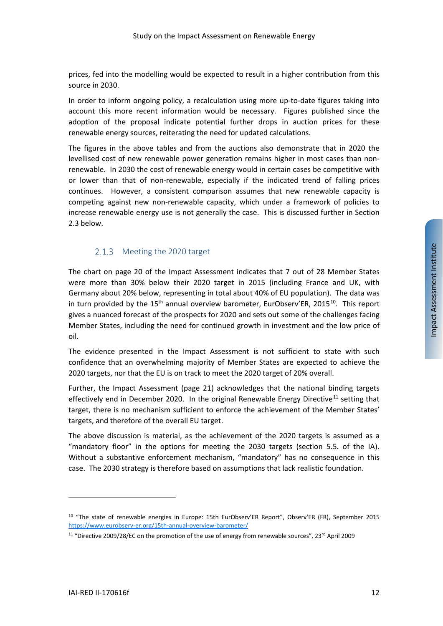prices, fed into the modelling would be expected to result in a higher contribution from this source in 2030.

In order to inform ongoing policy, a recalculation using more up-to-date figures taking into account this more recent information would be necessary. Figures published since the adoption of the proposal indicate potential further drops in auction prices for these renewable energy sources, reiterating the need for updated calculations.

The figures in the above tables and from the auctions also demonstrate that in 2020 the levellised cost of new renewable power generation remains higher in most cases than nonrenewable. In 2030 the cost of renewable energy would in certain cases be competitive with or lower than that of non-renewable, especially if the indicated trend of falling prices continues. However, a consistent comparison assumes that new renewable capacity is competing against new non-renewable capacity, which under a framework of policies to increase renewable energy use is not generally the case. This is discussed further in Section [2.3](#page-18-0) below.

#### 2.1.3 Meeting the 2020 target

The chart on page 20 of the Impact Assessment indicates that 7 out of 28 Member States were more than 30% below their 2020 target in 2015 (including France and UK, with Germany about 20% below, representing in total about 40% of EU population). The data was in turn provided by the  $15<sup>th</sup>$  annual overview barometer, EurObserv'ER, 2015<sup>[10](#page-11-0)</sup>. This report gives a nuanced forecast of the prospects for 2020 and sets out some of the challenges facing Member States, including the need for continued growth in investment and the low price of oil.

The evidence presented in the Impact Assessment is not sufficient to state with such confidence that an overwhelming majority of Member States are expected to achieve the 2020 targets, nor that the EU is on track to meet the 2020 target of 20% overall.

Further, the Impact Assessment (page 21) acknowledges that the national binding targets effectively end in December 2020. In the original Renewable Energy Directive<sup>[11](#page-11-1)</sup> setting that target, there is no mechanism sufficient to enforce the achievement of the Member States' targets, and therefore of the overall EU target.

The above discussion is material, as the achievement of the 2020 targets is assumed as a "mandatory floor" in the options for meeting the 2030 targets (section 5.5. of the IA). Without a substantive enforcement mechanism, "mandatory" has no consequence in this case. The 2030 strategy is therefore based on assumptions that lack realistic foundation.

<span id="page-11-0"></span><sup>10</sup> "The state of renewable energies in Europe: 15th EurObserv'ER Report", Observ'ER (FR), September 2015 <https://www.eurobserv-er.org/15th-annual-overview-barometer/>

<span id="page-11-1"></span><sup>11</sup> "Directive 2009/28/EC on the promotion of the use of energy from renewable sources", 23rd April 2009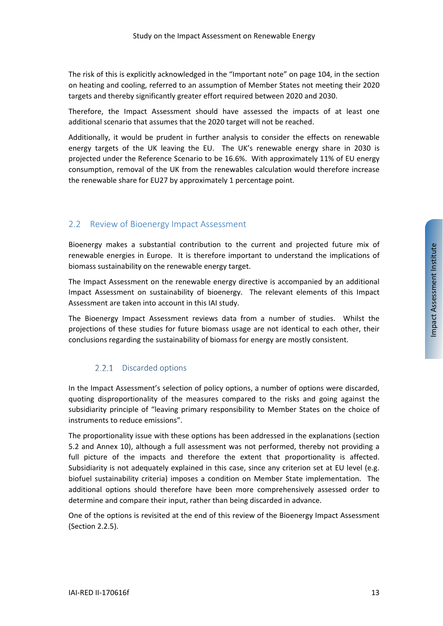The risk of this is explicitly acknowledged in the "Important note" on page 104, in the section on heating and cooling, referred to an assumption of Member States not meeting their 2020 targets and thereby significantly greater effort required between 2020 and 2030.

Therefore, the Impact Assessment should have assessed the impacts of at least one additional scenario that assumes that the 2020 target will not be reached.

Additionally, it would be prudent in further analysis to consider the effects on renewable energy targets of the UK leaving the EU. The UK's renewable energy share in 2030 is projected under the Reference Scenario to be 16.6%. With approximately 11% of EU energy consumption, removal of the UK from the renewables calculation would therefore increase the renewable share for EU27 by approximately 1 percentage point.

## <span id="page-12-0"></span>2.2 Review of Bioenergy Impact Assessment

Bioenergy makes a substantial contribution to the current and projected future mix of renewable energies in Europe. It is therefore important to understand the implications of biomass sustainability on the renewable energy target.

The Impact Assessment on the renewable energy directive is accompanied by an additional Impact Assessment on sustainability of bioenergy. The relevant elements of this Impact Assessment are taken into account in this IAI study.

The Bioenergy Impact Assessment reviews data from a number of studies. Whilst the projections of these studies for future biomass usage are not identical to each other, their conclusions regarding the sustainability of biomass for energy are mostly consistent.

## 2.2.1 Discarded options

In the Impact Assessment's selection of policy options, a number of options were discarded, quoting disproportionality of the measures compared to the risks and going against the subsidiarity principle of "leaving primary responsibility to Member States on the choice of instruments to reduce emissions".

The proportionality issue with these options has been addressed in the explanations (section 5.2 and Annex 10), although a full assessment was not performed, thereby not providing a full picture of the impacts and therefore the extent that proportionality is affected. Subsidiarity is not adequately explained in this case, since any criterion set at EU level (e.g. biofuel sustainability criteria) imposes a condition on Member State implementation. The additional options should therefore have been more comprehensively assessed order to determine and compare their input, rather than being discarded in advance.

One of the options is revisited at the end of this review of the Bioenergy Impact Assessment (Section [2.2.5\)](#page-17-0).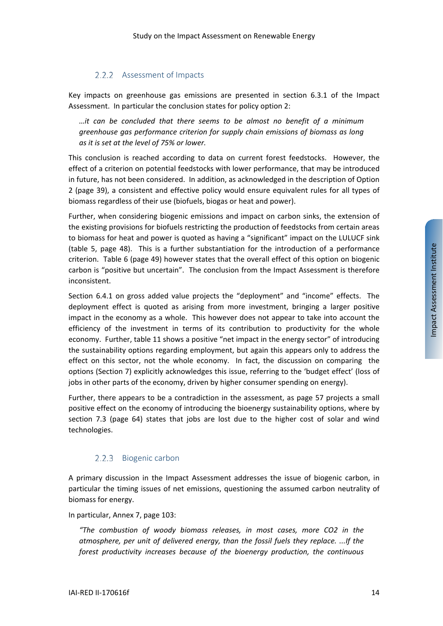## 2.2.2 Assessment of Impacts

<span id="page-13-0"></span>Key impacts on greenhouse gas emissions are presented in section 6.3.1 of the Impact Assessment. In particular the conclusion states for policy option 2:

*…it can be concluded that there seems to be almost no benefit of a minimum greenhouse gas performance criterion for supply chain emissions of biomass as long as it is set at the level of 75% or lower.* 

This conclusion is reached according to data on current forest feedstocks. However, the effect of a criterion on potential feedstocks with lower performance, that may be introduced in future, has not been considered. In addition, as acknowledged in the description of Option 2 (page 39), a consistent and effective policy would ensure equivalent rules for all types of biomass regardless of their use (biofuels, biogas or heat and power).

Further, when considering biogenic emissions and impact on carbon sinks, the extension of the existing provisions for biofuels restricting the production of feedstocks from certain areas to biomass for heat and power is quoted as having a "significant" impact on the LULUCF sink (table 5, page 48). This is a further substantiation for the introduction of a performance criterion. Table 6 (page 49) however states that the overall effect of this option on biogenic carbon is "positive but uncertain". The conclusion from the Impact Assessment is therefore inconsistent.

Section 6.4.1 on gross added value projects the "deployment" and "income" effects. The deployment effect is quoted as arising from more investment, bringing a larger positive impact in the economy as a whole. This however does not appear to take into account the efficiency of the investment in terms of its contribution to productivity for the whole economy. Further, table 11 shows a positive "net impact in the energy sector" of introducing the sustainability options regarding employment, but again this appears only to address the effect on this sector, not the whole economy. In fact, the discussion on comparing the options (Section 7) explicitly acknowledges this issue, referring to the 'budget effect' (loss of jobs in other parts of the economy, driven by higher consumer spending on energy).

Further, there appears to be a contradiction in the assessment, as page 57 projects a small positive effect on the economy of introducing the bioenergy sustainability options, where by section 7.3 (page 64) states that jobs are lost due to the higher cost of solar and wind technologies.

#### $2.2.3$ Biogenic carbon

A primary discussion in the Impact Assessment addresses the issue of biogenic carbon, in particular the timing issues of net emissions, questioning the assumed carbon neutrality of biomass for energy.

In particular, Annex 7, page 103:

*"The combustion of woody biomass releases, in most cases, more CO2 in the atmosphere, per unit of delivered energy, than the fossil fuels they replace. ...If the forest productivity increases because of the bioenergy production, the continuous*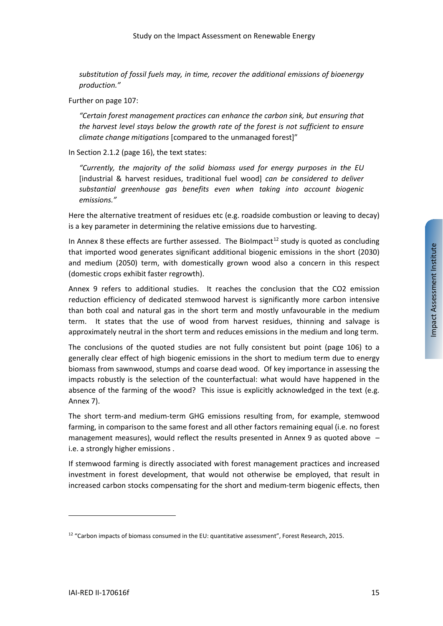*substitution of fossil fuels may, in time, recover the additional emissions of bioenergy production."*

Further on page 107:

*"Certain forest management practices can enhance the carbon sink, but ensuring that the harvest level stays below the growth rate of the forest is not sufficient to ensure climate change mitigations* [compared to the unmanaged forest]"

In Section 2.1.2 (page 16), the text states:

*"Currently, the majority of the solid biomass used for energy purposes in the EU*  [industrial & harvest residues, traditional fuel wood] *can be considered to deliver substantial greenhouse gas benefits even when taking into account biogenic emissions."*

Here the alternative treatment of residues etc (e.g. roadside combustion or leaving to decay) is a key parameter in determining the relative emissions due to harvesting.

In Annex 8 these effects are further assessed. The BioImpact<sup>[12](#page-14-0)</sup> study is quoted as concluding that imported wood generates significant additional biogenic emissions in the short (2030) and medium (2050) term, with domestically grown wood also a concern in this respect (domestic crops exhibit faster regrowth).

Annex 9 refers to additional studies. It reaches the conclusion that the CO2 emission reduction efficiency of dedicated stemwood harvest is significantly more carbon intensive than both coal and natural gas in the short term and mostly unfavourable in the medium term. It states that the use of wood from harvest residues, thinning and salvage is approximately neutral in the short term and reduces emissions in the medium and long term.

The conclusions of the quoted studies are not fully consistent but point (page 106) to a generally clear effect of high biogenic emissions in the short to medium term due to energy biomass from sawnwood, stumps and coarse dead wood. Of key importance in assessing the impacts robustly is the selection of the counterfactual: what would have happened in the absence of the farming of the wood? This issue is explicitly acknowledged in the text (e.g. Annex 7).

The short term-and medium-term GHG emissions resulting from, for example, stemwood farming, in comparison to the same forest and all other factors remaining equal (i.e. no forest management measures), would reflect the results presented in Annex 9 as quoted above – i.e. a strongly higher emissions .

If stemwood farming is directly associated with forest management practices and increased investment in forest development, that would not otherwise be employed, that result in increased carbon stocks compensating for the short and medium-term biogenic effects, then

<span id="page-14-0"></span> $12$  "Carbon impacts of biomass consumed in the EU: quantitative assessment", Forest Research, 2015.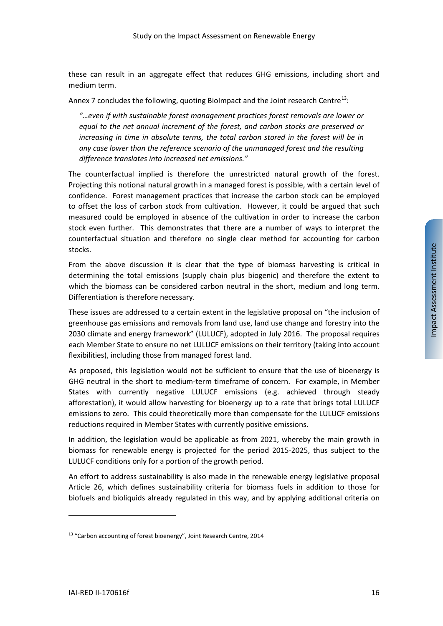these can result in an aggregate effect that reduces GHG emissions, including short and medium term.

Annex 7 concludes the following, quoting BioImpact and the Joint research Centre<sup>[13](#page-15-0)</sup>:

*"…even if with sustainable forest management practices forest removals are lower or equal to the net annual increment of the forest, and carbon stocks are preserved or increasing in time in absolute terms, the total carbon stored in the forest will be in any case lower than the reference scenario of the unmanaged forest and the resulting difference translates into increased net emissions."*

The counterfactual implied is therefore the unrestricted natural growth of the forest. Projecting this notional natural growth in a managed forest is possible, with a certain level of confidence. Forest management practices that increase the carbon stock can be employed to offset the loss of carbon stock from cultivation. However, it could be argued that such measured could be employed in absence of the cultivation in order to increase the carbon stock even further. This demonstrates that there are a number of ways to interpret the counterfactual situation and therefore no single clear method for accounting for carbon stocks.

From the above discussion it is clear that the type of biomass harvesting is critical in determining the total emissions (supply chain plus biogenic) and therefore the extent to which the biomass can be considered carbon neutral in the short, medium and long term. Differentiation is therefore necessary.

These issues are addressed to a certain extent in the legislative proposal on "the inclusion of greenhouse gas emissions and removals from land use, land use change and forestry into the 2030 climate and energy framework" (LULUCF), adopted in July 2016. The proposal requires each Member State to ensure no net LULUCF emissions on their territory (taking into account flexibilities), including those from managed forest land.

As proposed, this legislation would not be sufficient to ensure that the use of bioenergy is GHG neutral in the short to medium-term timeframe of concern. For example, in Member States with currently negative LULUCF emissions (e.g. achieved through steady afforestation), it would allow harvesting for bioenergy up to a rate that brings total LULUCF emissions to zero. This could theoretically more than compensate for the LULUCF emissions reductions required in Member States with currently positive emissions.

In addition, the legislation would be applicable as from 2021, whereby the main growth in biomass for renewable energy is projected for the period 2015-2025, thus subject to the LULUCF conditions only for a portion of the growth period.

An effort to address sustainability is also made in the renewable energy legislative proposal Article 26, which defines sustainability criteria for biomass fuels in addition to those for biofuels and bioliquids already regulated in this way, and by applying additional criteria on

<span id="page-15-0"></span><sup>&</sup>lt;sup>13</sup> "Carbon accounting of forest bioenergy", Joint Research Centre, 2014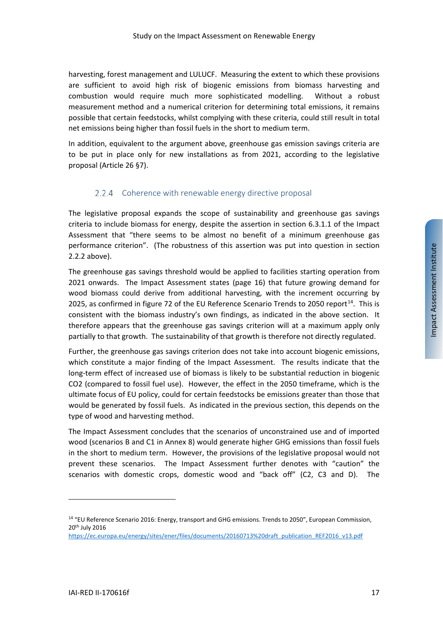harvesting, forest management and LULUCF. Measuring the extent to which these provisions are sufficient to avoid high risk of biogenic emissions from biomass harvesting and combustion would require much more sophisticated modelling. Without a robust measurement method and a numerical criterion for determining total emissions, it remains possible that certain feedstocks, whilst complying with these criteria, could still result in total net emissions being higher than fossil fuels in the short to medium term.

In addition, equivalent to the argument above, greenhouse gas emission savings criteria are to be put in place only for new installations as from 2021, according to the legislative proposal (Article 26 §7).

## 2.2.4 Coherence with renewable energy directive proposal

The legislative proposal expands the scope of sustainability and greenhouse gas savings criteria to include biomass for energy, despite the assertion in section 6.3.1.1 of the Impact Assessment that "there seems to be almost no benefit of a minimum greenhouse gas performance criterion". (The robustness of this assertion was put into question in section [2.2.2](#page-13-0) above).

The greenhouse gas savings threshold would be applied to facilities starting operation from 2021 onwards. The Impact Assessment states (page 16) that future growing demand for wood biomass could derive from additional harvesting, with the increment occurring by 2025, as confirmed in figure 72 of the EU Reference Scenario Trends to 2050 report<sup>14</sup>. This is consistent with the biomass industry's own findings, as indicated in the above section. It therefore appears that the greenhouse gas savings criterion will at a maximum apply only partially to that growth. The sustainability of that growth is therefore not directly regulated.

Further, the greenhouse gas savings criterion does not take into account biogenic emissions, which constitute a major finding of the Impact Assessment. The results indicate that the long-term effect of increased use of biomass is likely to be substantial reduction in biogenic CO2 (compared to fossil fuel use). However, the effect in the 2050 timeframe, which is the ultimate focus of EU policy, could for certain feedstocks be emissions greater than those that would be generated by fossil fuels. As indicated in the previous section, this depends on the type of wood and harvesting method.

The Impact Assessment concludes that the scenarios of unconstrained use and of imported wood (scenarios B and C1 in Annex 8) would generate higher GHG emissions than fossil fuels in the short to medium term. However, the provisions of the legislative proposal would not prevent these scenarios. The Impact Assessment further denotes with "caution" the scenarios with domestic crops, domestic wood and "back off" (C2, C3 and D). The

Impact Assessment Institute

<span id="page-16-0"></span>Impact Assessment Institute

<span id="page-16-1"></span><sup>&</sup>lt;sup>14</sup> "EU Reference Scenario 2016: Energy, transport and GHG emissions. Trends to 2050", European Commission, 20th July 2016

[https://ec.europa.eu/energy/sites/ener/files/documents/20160713%20draft\\_publication\\_REF2016\\_v13.pdf](https://ec.europa.eu/energy/sites/ener/files/documents/20160713%20draft_publication_REF2016_v13.pdf)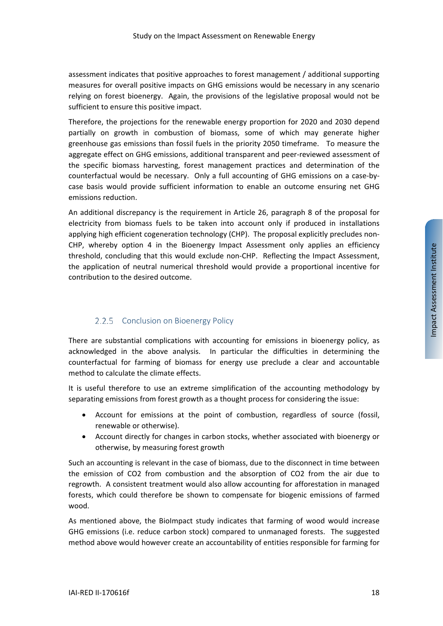assessment indicates that positive approaches to forest management / additional supporting measures for overall positive impacts on GHG emissions would be necessary in any scenario relying on forest bioenergy. Again, the provisions of the legislative proposal would not be sufficient to ensure this positive impact.

Therefore, the projections for the renewable energy proportion for 2020 and 2030 depend partially on growth in combustion of biomass, some of which may generate higher greenhouse gas emissions than fossil fuels in the priority 2050 timeframe. To measure the aggregate effect on GHG emissions, additional transparent and peer-reviewed assessment of the specific biomass harvesting, forest management practices and determination of the counterfactual would be necessary. Only a full accounting of GHG emissions on a case-bycase basis would provide sufficient information to enable an outcome ensuring net GHG emissions reduction.

An additional discrepancy is the requirement in Article 26, paragraph 8 of the proposal for electricity from biomass fuels to be taken into account only if produced in installations applying high efficient cogeneration technology (CHP). The proposal explicitly precludes non-CHP, whereby option 4 in the Bioenergy Impact Assessment only applies an efficiency threshold, concluding that this would exclude non-CHP. Reflecting the Impact Assessment, the application of neutral numerical threshold would provide a proportional incentive for contribution to the desired outcome.

# 2.2.5 Conclusion on Bioenergy Policy

<span id="page-17-0"></span>There are substantial complications with accounting for emissions in bioenergy policy, as acknowledged in the above analysis. In particular the difficulties in determining the counterfactual for farming of biomass for energy use preclude a clear and accountable method to calculate the climate effects.

It is useful therefore to use an extreme simplification of the accounting methodology by separating emissions from forest growth as a thought process for considering the issue:

- Account for emissions at the point of combustion, regardless of source (fossil, renewable or otherwise).
- Account directly for changes in carbon stocks, whether associated with bioenergy or otherwise, by measuring forest growth

Such an accounting is relevant in the case of biomass, due to the disconnect in time between the emission of CO2 from combustion and the absorption of CO2 from the air due to regrowth. A consistent treatment would also allow accounting for afforestation in managed forests, which could therefore be shown to compensate for biogenic emissions of farmed wood.

As mentioned above, the BioImpact study indicates that farming of wood would increase GHG emissions (i.e. reduce carbon stock) compared to unmanaged forests. The suggested method above would however create an accountability of entities responsible for farming for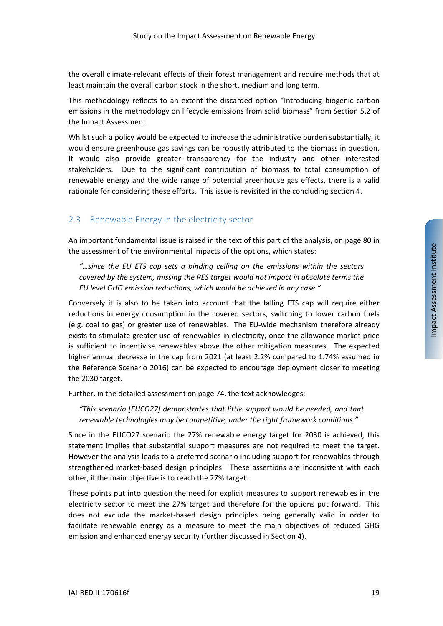the overall climate-relevant effects of their forest management and require methods that at least maintain the overall carbon stock in the short, medium and long term.

This methodology reflects to an extent the discarded option "Introducing biogenic carbon emissions in the methodology on lifecycle emissions from solid biomass" from Section 5.2 of the Impact Assessment.

Whilst such a policy would be expected to increase the administrative burden substantially, it would ensure greenhouse gas savings can be robustly attributed to the biomass in question. It would also provide greater transparency for the industry and other interested stakeholders. Due to the significant contribution of biomass to total consumption of renewable energy and the wide range of potential greenhouse gas effects, there is a valid rationale for considering these efforts. This issue is revisited in the concluding sectio[n 4.](#page-43-0)

# <span id="page-18-0"></span>2.3 Renewable Energy in the electricity sector

An important fundamental issue is raised in the text of this part of the analysis, on page 80 in the assessment of the environmental impacts of the options, which states:

*"…since the EU ETS cap sets a binding ceiling on the emissions within the sectors covered by the system, missing the RES target would not impact in absolute terms the EU level GHG emission reductions, which would be achieved in any case."*

Conversely it is also to be taken into account that the falling ETS cap will require either reductions in energy consumption in the covered sectors, switching to lower carbon fuels (e.g. coal to gas) or greater use of renewables. The EU-wide mechanism therefore already exists to stimulate greater use of renewables in electricity, once the allowance market price is sufficient to incentivise renewables above the other mitigation measures. The expected higher annual decrease in the cap from 2021 (at least 2.2% compared to 1.74% assumed in the Reference Scenario 2016) can be expected to encourage deployment closer to meeting the 2030 target.

Further, in the detailed assessment on page 74, the text acknowledges:

*"This scenario [EUCO27] demonstrates that little support would be needed, and that renewable technologies may be competitive, under the right framework conditions."*

Since in the EUCO27 scenario the 27% renewable energy target for 2030 is achieved, this statement implies that substantial support measures are not required to meet the target. However the analysis leads to a preferred scenario including support for renewables through strengthened market-based design principles. These assertions are inconsistent with each other, if the main objective is to reach the 27% target.

These points put into question the need for explicit measures to support renewables in the electricity sector to meet the 27% target and therefore for the options put forward. This does not exclude the market-based design principles being generally valid in order to facilitate renewable energy as a measure to meet the main objectives of reduced GHG emission and enhanced energy security (further discussed in Section [4\)](#page-43-0).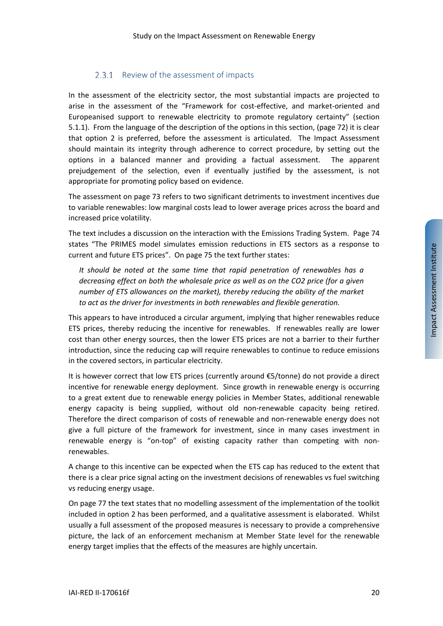## 2.3.1 Review of the assessment of impacts

In the assessment of the electricity sector, the most substantial impacts are projected to arise in the assessment of the "Framework for cost-effective, and market-oriented and Europeanised support to renewable electricity to promote regulatory certainty" (section 5.1.1). From the language of the description of the options in this section, (page 72) it is clear that option 2 is preferred, before the assessment is articulated. The Impact Assessment should maintain its integrity through adherence to correct procedure, by setting out the options in a balanced manner and providing a factual assessment. The apparent prejudgement of the selection, even if eventually justified by the assessment, is not appropriate for promoting policy based on evidence.

The assessment on page 73 refers to two significant detriments to investment incentives due to variable renewables: low marginal costs lead to lower average prices across the board and increased price volatility.

The text includes a discussion on the interaction with the Emissions Trading System. Page 74 states "The PRIMES model simulates emission reductions in ETS sectors as a response to current and future ETS prices". On page 75 the text further states:

*It should be noted at the same time that rapid penetration of renewables has a decreasing effect on both the wholesale price as well as on the CO2 price (for a given number of ETS allowances on the market), thereby reducing the ability of the market to act as the driver for investments in both renewables and flexible generation.*

This appears to have introduced a circular argument, implying that higher renewables reduce ETS prices, thereby reducing the incentive for renewables. If renewables really are lower cost than other energy sources, then the lower ETS prices are not a barrier to their further introduction, since the reducing cap will require renewables to continue to reduce emissions in the covered sectors, in particular electricity.

It is however correct that low ETS prices (currently around €5/tonne) do not provide a direct incentive for renewable energy deployment. Since growth in renewable energy is occurring to a great extent due to renewable energy policies in Member States, additional renewable energy capacity is being supplied, without old non-renewable capacity being retired. Therefore the direct comparison of costs of renewable and non-renewable energy does not give a full picture of the framework for investment, since in many cases investment in renewable energy is "on-top" of existing capacity rather than competing with nonrenewables.

A change to this incentive can be expected when the ETS cap has reduced to the extent that there is a clear price signal acting on the investment decisions of renewables vs fuel switching vs reducing energy usage.

On page 77 the text states that no modelling assessment of the implementation of the toolkit included in option 2 has been performed, and a qualitative assessment is elaborated. Whilst usually a full assessment of the proposed measures is necessary to provide a comprehensive picture, the lack of an enforcement mechanism at Member State level for the renewable energy target implies that the effects of the measures are highly uncertain.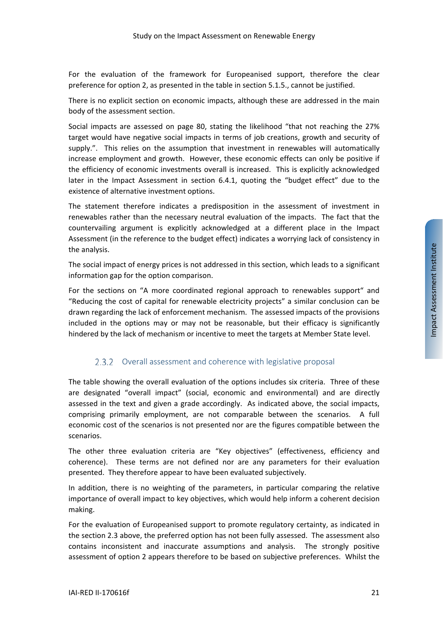For the evaluation of the framework for Europeanised support, therefore the clear preference for option 2, as presented in the table in section 5.1.5., cannot be justified.

There is no explicit section on economic impacts, although these are addressed in the main body of the assessment section.

Social impacts are assessed on page 80, stating the likelihood "that not reaching the 27% target would have negative social impacts in terms of job creations, growth and security of supply.". This relies on the assumption that investment in renewables will automatically increase employment and growth. However, these economic effects can only be positive if the efficiency of economic investments overall is increased. This is explicitly acknowledged later in the Impact Assessment in section 6.4.1, quoting the "budget effect" due to the existence of alternative investment options.

The statement therefore indicates a predisposition in the assessment of investment in renewables rather than the necessary neutral evaluation of the impacts. The fact that the countervailing argument is explicitly acknowledged at a different place in the Impact Assessment (in the reference to the budget effect) indicates a worrying lack of consistency in the analysis.

The social impact of energy prices is not addressed in this section, which leads to a significant information gap for the option comparison.

For the sections on "A more coordinated regional approach to renewables support" and "Reducing the cost of capital for renewable electricity projects" a similar conclusion can be drawn regarding the lack of enforcement mechanism. The assessed impacts of the provisions included in the options may or may not be reasonable, but their efficacy is significantly hindered by the lack of mechanism or incentive to meet the targets at Member State level.

#### 2.3.2 Overall assessment and coherence with legislative proposal

The table showing the overall evaluation of the options includes six criteria. Three of these are designated "overall impact" (social, economic and environmental) and are directly assessed in the text and given a grade accordingly. As indicated above, the social impacts, comprising primarily employment, are not comparable between the scenarios. A full economic cost of the scenarios is not presented nor are the figures compatible between the scenarios.

The other three evaluation criteria are "Key objectives" (effectiveness, efficiency and coherence). These terms are not defined nor are any parameters for their evaluation presented. They therefore appear to have been evaluated subjectively.

In addition, there is no weighting of the parameters, in particular comparing the relative importance of overall impact to key objectives, which would help inform a coherent decision making.

For the evaluation of Europeanised support to promote regulatory certainty, as indicated in the section [2.3](#page-18-0) above, the preferred option has not been fully assessed. The assessment also contains inconsistent and inaccurate assumptions and analysis. The strongly positive assessment of option 2 appears therefore to be based on subjective preferences. Whilst the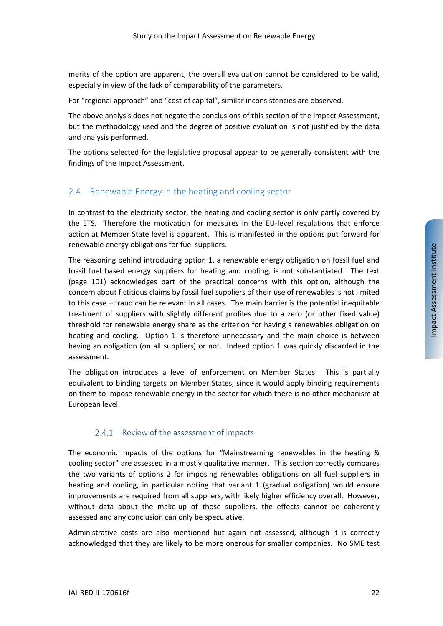merits of the option are apparent, the overall evaluation cannot be considered to be valid, especially in view of the lack of comparability of the parameters.

For "regional approach" and "cost of capital", similar inconsistencies are observed.

The above analysis does not negate the conclusions of this section of the Impact Assessment, but the methodology used and the degree of positive evaluation is not justified by the data and analysis performed.

The options selected for the legislative proposal appear to be generally consistent with the findings of the Impact Assessment.

# <span id="page-21-0"></span>2.4 Renewable Energy in the heating and cooling sector

In contrast to the electricity sector, the heating and cooling sector is only partly covered by the ETS. Therefore the motivation for measures in the EU-level regulations that enforce action at Member State level is apparent. This is manifested in the options put forward for renewable energy obligations for fuel suppliers.

The reasoning behind introducing option 1, a renewable energy obligation on fossil fuel and fossil fuel based energy suppliers for heating and cooling, is not substantiated. The text (page 101) acknowledges part of the practical concerns with this option, although the concern about fictitious claims by fossil fuel suppliers of their use of renewables is not limited to this case – fraud can be relevant in all cases. The main barrier is the potential inequitable treatment of suppliers with slightly different profiles due to a zero (or other fixed value) threshold for renewable energy share as the criterion for having a renewables obligation on heating and cooling. Option 1 is therefore unnecessary and the main choice is between having an obligation (on all suppliers) or not. Indeed option 1 was quickly discarded in the assessment.

The obligation introduces a level of enforcement on Member States. This is partially equivalent to binding targets on Member States, since it would apply binding requirements on them to impose renewable energy in the sector for which there is no other mechanism at European level.

## 2.4.1 Review of the assessment of impacts

The economic impacts of the options for "Mainstreaming renewables in the heating & cooling sector" are assessed in a mostly qualitative manner. This section correctly compares the two variants of options 2 for imposing renewables obligations on all fuel suppliers in heating and cooling, in particular noting that variant 1 (gradual obligation) would ensure improvements are required from all suppliers, with likely higher efficiency overall. However, without data about the make-up of those suppliers, the effects cannot be coherently assessed and any conclusion can only be speculative.

Administrative costs are also mentioned but again not assessed, although it is correctly acknowledged that they are likely to be more onerous for smaller companies. No SME test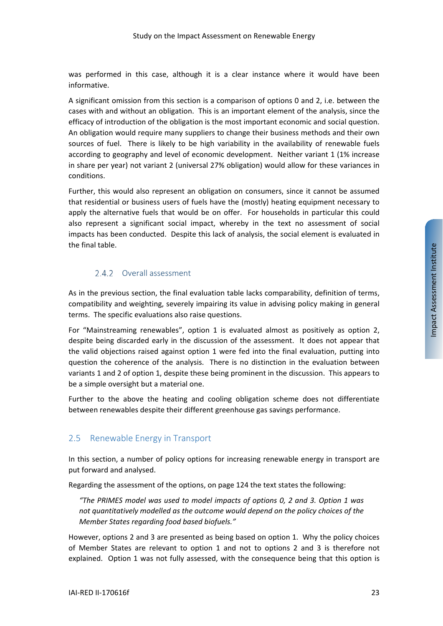was performed in this case, although it is a clear instance where it would have been informative.

A significant omission from this section is a comparison of options 0 and 2, i.e. between the cases with and without an obligation. This is an important element of the analysis, since the efficacy of introduction of the obligation is the most important economic and social question. An obligation would require many suppliers to change their business methods and their own sources of fuel. There is likely to be high variability in the availability of renewable fuels according to geography and level of economic development. Neither variant 1 (1% increase in share per year) not variant 2 (universal 27% obligation) would allow for these variances in conditions.

Further, this would also represent an obligation on consumers, since it cannot be assumed that residential or business users of fuels have the (mostly) heating equipment necessary to apply the alternative fuels that would be on offer. For households in particular this could also represent a significant social impact, whereby in the text no assessment of social impacts has been conducted. Despite this lack of analysis, the social element is evaluated in the final table.

# 2.4.2 Overall assessment

As in the previous section, the final evaluation table lacks comparability, definition of terms, compatibility and weighting, severely impairing its value in advising policy making in general terms. The specific evaluations also raise questions.

For "Mainstreaming renewables", option 1 is evaluated almost as positively as option 2, despite being discarded early in the discussion of the assessment. It does not appear that the valid objections raised against option 1 were fed into the final evaluation, putting into question the coherence of the analysis. There is no distinction in the evaluation between variants 1 and 2 of option 1, despite these being prominent in the discussion. This appears to be a simple oversight but a material one.

Further to the above the heating and cooling obligation scheme does not differentiate between renewables despite their different greenhouse gas savings performance.

# <span id="page-22-0"></span>2.5 Renewable Energy in Transport

In this section, a number of policy options for increasing renewable energy in transport are put forward and analysed.

Regarding the assessment of the options, on page 124 the text states the following:

*"The PRIMES model was used to model impacts of options 0, 2 and 3. Option 1 was not quantitatively modelled as the outcome would depend on the policy choices of the Member States regarding food based biofuels."*

However, options 2 and 3 are presented as being based on option 1. Why the policy choices of Member States are relevant to option 1 and not to options 2 and 3 is therefore not explained. Option 1 was not fully assessed, with the consequence being that this option is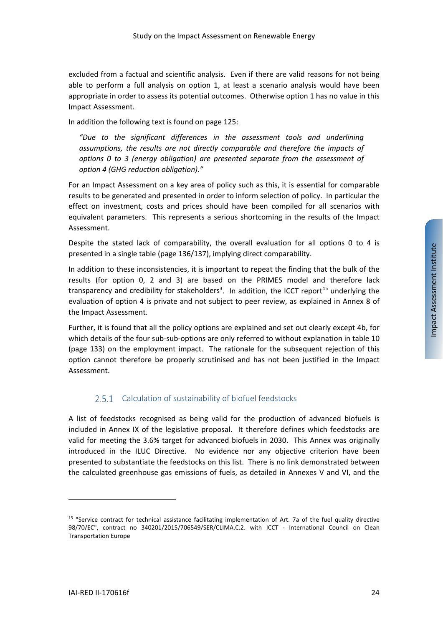excluded from a factual and scientific analysis. Even if there are valid reasons for not being able to perform a full analysis on option 1, at least a scenario analysis would have been appropriate in order to assess its potential outcomes. Otherwise option 1 has no value in this Impact Assessment.

In addition the following text is found on page 125:

*"Due to the significant differences in the assessment tools and underlining assumptions, the results are not directly comparable and therefore the impacts of options 0 to 3 (energy obligation) are presented separate from the assessment of option 4 (GHG reduction obligation)."*

For an Impact Assessment on a key area of policy such as this, it is essential for comparable results to be generated and presented in order to inform selection of policy. In particular the effect on investment, costs and prices should have been compiled for all scenarios with equivalent parameters. This represents a serious shortcoming in the results of the Impact Assessment.

Despite the stated lack of comparability, the overall evaluation for all options 0 to 4 is presented in a single table (page 136/137), implying direct comparability.

In addition to these inconsistencies, it is important to repeat the finding that the bulk of the results (for option 0, 2 and 3) are based on the PRIMES model and therefore lack transparency and credibility for stakeholders<sup>3</sup>. In addition, the ICCT report<sup>[15](#page-23-0)</sup> underlying the evaluation of option 4 is private and not subject to peer review, as explained in Annex 8 of the Impact Assessment.

Further, it is found that all the policy options are explained and set out clearly except 4b, for which details of the four sub-sub-options are only referred to without explanation in table 10 (page 133) on the employment impact. The rationale for the subsequent rejection of this option cannot therefore be properly scrutinised and has not been justified in the Impact Assessment.

# 2.5.1 Calculation of sustainability of biofuel feedstocks

A list of feedstocks recognised as being valid for the production of advanced biofuels is included in Annex IX of the legislative proposal. It therefore defines which feedstocks are valid for meeting the 3.6% target for advanced biofuels in 2030. This Annex was originally introduced in the ILUC Directive. No evidence nor any objective criterion have been presented to substantiate the feedstocks on this list. There is no link demonstrated between the calculated greenhouse gas emissions of fuels, as detailed in Annexes V and VI, and the

<span id="page-23-0"></span><sup>15</sup> "Service contract for technical assistance facilitating implementation of Art. 7a of the fuel quality directive 98/70/EC", contract no 340201/2015/706549/SER/CLIMA.C.2. with ICCT - International Council on Clean Transportation Europe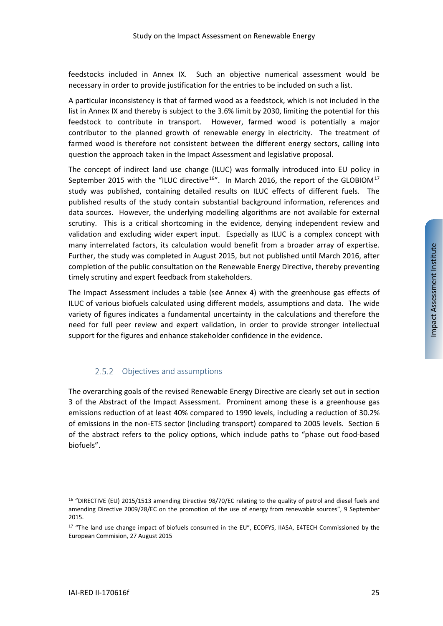feedstocks included in Annex IX. Such an objective numerical assessment would be necessary in order to provide justification for the entries to be included on such a list.

A particular inconsistency is that of farmed wood as a feedstock, which is not included in the list in Annex IX and thereby is subject to the 3.6% limit by 2030, limiting the potential for this feedstock to contribute in transport. However, farmed wood is potentially a major contributor to the planned growth of renewable energy in electricity. The treatment of farmed wood is therefore not consistent between the different energy sectors, calling into question the approach taken in the Impact Assessment and legislative proposal.

The concept of indirect land use change (ILUC) was formally introduced into EU policy in September 2015 with the "ILUC directive<sup>[16](#page-24-0)</sup>". In March 2016, the report of the GLOBIOM<sup>[17](#page-24-1)</sup> study was published, containing detailed results on ILUC effects of different fuels. The published results of the study contain substantial background information, references and data sources. However, the underlying modelling algorithms are not available for external scrutiny. This is a critical shortcoming in the evidence, denying independent review and validation and excluding wider expert input. Especially as ILUC is a complex concept with many interrelated factors, its calculation would benefit from a broader array of expertise. Further, the study was completed in August 2015, but not published until March 2016, after completion of the public consultation on the Renewable Energy Directive, thereby preventing timely scrutiny and expert feedback from stakeholders.

The Impact Assessment includes a table (see [Annex 4\)](#page-50-0) with the greenhouse gas effects of ILUC of various biofuels calculated using different models, assumptions and data. The wide variety of figures indicates a fundamental uncertainty in the calculations and therefore the need for full peer review and expert validation, in order to provide stronger intellectual support for the figures and enhance stakeholder confidence in the evidence.

# 2.5.2 Objectives and assumptions

<span id="page-24-2"></span>The overarching goals of the revised Renewable Energy Directive are clearly set out in section 3 of the Abstract of the Impact Assessment. Prominent among these is a greenhouse gas emissions reduction of at least 40% compared to 1990 levels, including a reduction of 30.2% of emissions in the non-ETS sector (including transport) compared to 2005 levels. Section 6 of the abstract refers to the policy options, which include paths to "phase out food-based biofuels".

<span id="page-24-0"></span><sup>16</sup> "DIRECTIVE (EU) 2015/1513 amending Directive 98/70/EC relating to the quality of petrol and diesel fuels and amending Directive 2009/28/EC on the promotion of the use of energy from renewable sources", 9 September 2015.

<span id="page-24-1"></span><sup>&</sup>lt;sup>17</sup> "The land use change impact of biofuels consumed in the EU", ECOFYS, IIASA, E4TECH Commissioned by the European Commision, 27 August 2015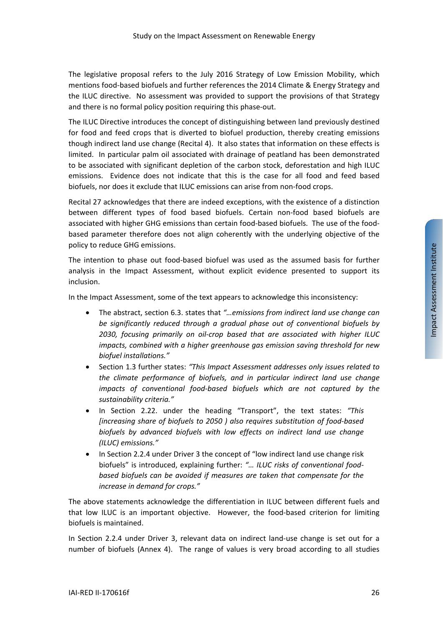The legislative proposal refers to the July 2016 Strategy of Low Emission Mobility, which mentions food-based biofuels and further references the 2014 Climate & Energy Strategy and the ILUC directive. No assessment was provided to support the provisions of that Strategy and there is no formal policy position requiring this phase-out.

The ILUC Directive introduces the concept of distinguishing between land previously destined for food and feed crops that is diverted to biofuel production, thereby creating emissions though indirect land use change (Recital 4). It also states that information on these effects is limited. In particular palm oil associated with drainage of peatland has been demonstrated to be associated with significant depletion of the carbon stock, deforestation and high ILUC emissions. Evidence does not indicate that this is the case for all food and feed based biofuels, nor does it exclude that ILUC emissions can arise from non-food crops.

Recital 27 acknowledges that there are indeed exceptions, with the existence of a distinction between different types of food based biofuels. Certain non-food based biofuels are associated with higher GHG emissions than certain food-based biofuels. The use of the foodbased parameter therefore does not align coherently with the underlying objective of the policy to reduce GHG emissions.

The intention to phase out food-based biofuel was used as the assumed basis for further analysis in the Impact Assessment, without explicit evidence presented to support its inclusion.

In the Impact Assessment, some of the text appears to acknowledge this inconsistency:

- The abstract, section 6.3. states that *"…emissions from indirect land use change can be significantly reduced through a gradual phase out of conventional biofuels by 2030, focusing primarily on oil-crop based that are associated with higher ILUC impacts, combined with a higher greenhouse gas emission saving threshold for new biofuel installations."*
- Section 1.3 further states: *"This Impact Assessment addresses only issues related to the climate performance of biofuels, and in particular indirect land use change impacts of conventional food-based biofuels which are not captured by the sustainability criteria."*
- In Section 2.22. under the heading "Transport", the text states: *"This [increasing share of biofuels to 2050 ) also requires substitution of food-based biofuels by advanced biofuels with low effects on indirect land use change (ILUC) emissions."*
- In Section 2.2.4 under Driver 3 the concept of "low indirect land use change risk biofuels" is introduced, explaining further: *"… ILUC risks of conventional foodbased biofuels can be avoided if measures are taken that compensate for the increase in demand for crops."*

The above statements acknowledge the differentiation in ILUC between different fuels and that low ILUC is an important objective. However, the food-based criterion for limiting biofuels is maintained.

In Section 2.2.4 under Driver 3, relevant data on indirect land-use change is set out for a number of biofuels [\(Annex 4\)](#page-50-0). The range of values is very broad according to all studies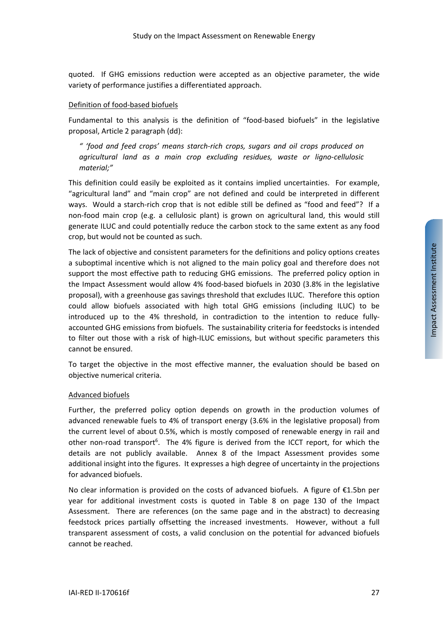quoted. If GHG emissions reduction were accepted as an objective parameter, the wide variety of performance justifies a differentiated approach.

#### Definition of food-based biofuels

Fundamental to this analysis is the definition of "food-based biofuels" in the legislative proposal, Article 2 paragraph (dd):

*" 'food and feed crops' means starch-rich crops, sugars and oil crops produced on agricultural land as a main crop excluding residues, waste or ligno-cellulosic material;"*

This definition could easily be exploited as it contains implied uncertainties. For example, "agricultural land" and "main crop" are not defined and could be interpreted in different ways. Would a starch-rich crop that is not edible still be defined as "food and feed"? If a non-food main crop (e.g. a cellulosic plant) is grown on agricultural land, this would still generate ILUC and could potentially reduce the carbon stock to the same extent as any food crop, but would not be counted as such.

The lack of objective and consistent parameters for the definitions and policy options creates a suboptimal incentive which is not aligned to the main policy goal and therefore does not support the most effective path to reducing GHG emissions. The preferred policy option in the Impact Assessment would allow 4% food-based biofuels in 2030 (3.8% in the legislative proposal), with a greenhouse gas savings threshold that excludes ILUC. Therefore this option could allow biofuels associated with high total GHG emissions (including ILUC) to be introduced up to the 4% threshold, in contradiction to the intention to reduce fullyaccounted GHG emissions from biofuels. The sustainability criteria for feedstocks is intended to filter out those with a risk of high-ILUC emissions, but without specific parameters this cannot be ensured.

To target the objective in the most effective manner, the evaluation should be based on objective numerical criteria.

#### Advanced biofuels

Further, the preferred policy option depends on growth in the production volumes of advanced renewable fuels to 4% of transport energy (3.6% in the legislative proposal) from the current level of about 0.5%, which is mostly composed of renewable energy in rail and other non-road transport<sup>6</sup>. The 4% figure is derived from the ICCT report, for which the details are not publicly available. Annex 8 of the Impact Assessment provides some additional insight into the figures. It expresses a high degree of uncertainty in the projections for advanced biofuels.

No clear information is provided on the costs of advanced biofuels. A figure of €1.5bn per year for additional investment costs is quoted in Table 8 on page 130 of the Impact Assessment. There are references (on the same page and in the abstract) to decreasing feedstock prices partially offsetting the increased investments. However, without a full transparent assessment of costs, a valid conclusion on the potential for advanced biofuels cannot be reached.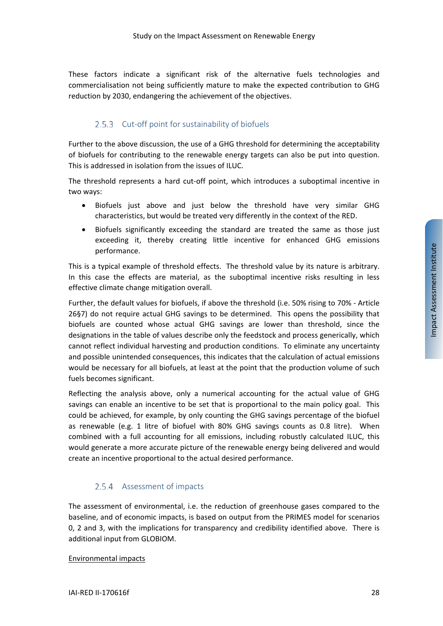These factors indicate a significant risk of the alternative fuels technologies and commercialisation not being sufficiently mature to make the expected contribution to GHG reduction by 2030, endangering the achievement of the objectives.

## 2.5.3 Cut-off point for sustainability of biofuels

<span id="page-27-0"></span>Further to the above discussion, the use of a GHG threshold for determining the acceptability of biofuels for contributing to the renewable energy targets can also be put into question. This is addressed in isolation from the issues of ILUC.

The threshold represents a hard cut-off point, which introduces a suboptimal incentive in two ways:

- Biofuels just above and just below the threshold have very similar GHG characteristics, but would be treated very differently in the context of the RED.
- Biofuels significantly exceeding the standard are treated the same as those just exceeding it, thereby creating little incentive for enhanced GHG emissions performance.

This is a typical example of threshold effects. The threshold value by its nature is arbitrary. In this case the effects are material, as the suboptimal incentive risks resulting in less effective climate change mitigation overall.

Further, the default values for biofuels, if above the threshold (i.e. 50% rising to 70% - Article 26§7) do not require actual GHG savings to be determined. This opens the possibility that biofuels are counted whose actual GHG savings are lower than threshold, since the designations in the table of values describe only the feedstock and process generically, which cannot reflect individual harvesting and production conditions. To eliminate any uncertainty and possible unintended consequences, this indicates that the calculation of actual emissions would be necessary for all biofuels, at least at the point that the production volume of such fuels becomes significant.

Reflecting the analysis above, only a numerical accounting for the actual value of GHG savings can enable an incentive to be set that is proportional to the main policy goal. This could be achieved, for example, by only counting the GHG savings percentage of the biofuel as renewable (e.g. 1 litre of biofuel with 80% GHG savings counts as 0.8 litre). When combined with a full accounting for all emissions, including robustly calculated ILUC, this would generate a more accurate picture of the renewable energy being delivered and would create an incentive proportional to the actual desired performance.

## 2.5.4 Assessment of impacts

The assessment of environmental, i.e. the reduction of greenhouse gases compared to the baseline, and of economic impacts, is based on output from the PRIMES model for scenarios 0, 2 and 3, with the implications for transparency and credibility identified above. There is additional input from GLOBIOM.

#### Environmental impacts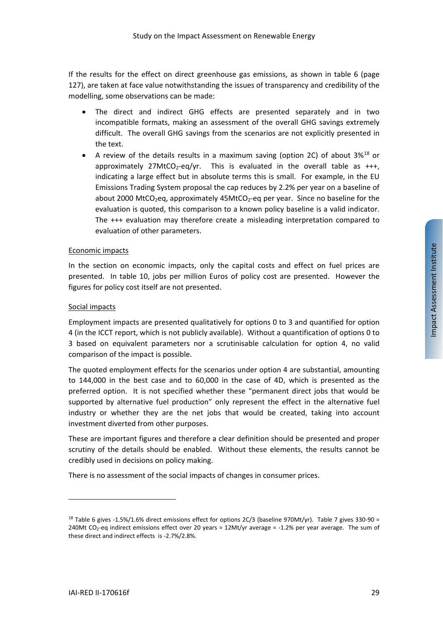If the results for the effect on direct greenhouse gas emissions, as shown in table 6 (page 127), are taken at face value notwithstanding the issues of transparency and credibility of the modelling, some observations can be made:

- The direct and indirect GHG effects are presented separately and in two incompatible formats, making an assessment of the overall GHG savings extremely difficult. The overall GHG savings from the scenarios are not explicitly presented in the text.
- A review of the details results in a maximum saving (option 2C) of about 3%<sup>[18](#page-28-0)</sup> or approximately 27MtCO<sub>2</sub>-eq/yr. This is evaluated in the overall table as  $+++$ , indicating a large effect but in absolute terms this is small. For example, in the EU Emissions Trading System proposal the cap reduces by 2.2% per year on a baseline of about 2000 MtCO<sub>2</sub>eq, approximately 45MtCO<sub>2</sub>-eq per year. Since no baseline for the evaluation is quoted, this comparison to a known policy baseline is a valid indicator. The +++ evaluation may therefore create a misleading interpretation compared to evaluation of other parameters.

#### Economic impacts

In the section on economic impacts, only the capital costs and effect on fuel prices are presented. In table 10, jobs per million Euros of policy cost are presented. However the figures for policy cost itself are not presented.

#### Social impacts

Employment impacts are presented qualitatively for options 0 to 3 and quantified for option 4 (in the ICCT report, which is not publicly available). Without a quantification of options 0 to 3 based on equivalent parameters nor a scrutinisable calculation for option 4, no valid comparison of the impact is possible.

The quoted employment effects for the scenarios under option 4 are substantial, amounting to 144,000 in the best case and to 60,000 in the case of 4D, which is presented as the preferred option. It is not specified whether these "permanent direct jobs that would be supported by alternative fuel production" only represent the effect in the alternative fuel industry or whether they are the net jobs that would be created, taking into account investment diverted from other purposes.

These are important figures and therefore a clear definition should be presented and proper scrutiny of the details should be enabled. Without these elements, the results cannot be credibly used in decisions on policy making.

There is no assessment of the social impacts of changes in consumer prices.

<span id="page-28-0"></span><sup>&</sup>lt;sup>18</sup> Table 6 gives -1.5%/1.6% direct emissions effect for options 2C/3 (baseline 970Mt/yr). Table 7 gives 330-90 = 240Mt CO<sub>2</sub>-eq indirect emissions effect over 20 years =  $12$ Mt/yr average = -1.2% per year average. The sum of these direct and indirect effects is -2.7%/2.8%.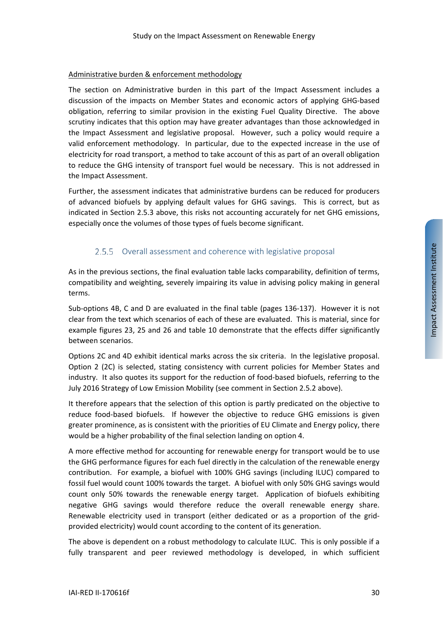#### Administrative burden & enforcement methodology

The section on Administrative burden in this part of the Impact Assessment includes a discussion of the impacts on Member States and economic actors of applying GHG-based obligation, referring to similar provision in the existing Fuel Quality Directive. The above scrutiny indicates that this option may have greater advantages than those acknowledged in the Impact Assessment and legislative proposal. However, such a policy would require a valid enforcement methodology. In particular, due to the expected increase in the use of electricity for road transport, a method to take account of this as part of an overall obligation to reduce the GHG intensity of transport fuel would be necessary. This is not addressed in the Impact Assessment.

Further, the assessment indicates that administrative burdens can be reduced for producers of advanced biofuels by applying default values for GHG savings. This is correct, but as indicated in Section [2.5.3](#page-27-0) above, this risks not accounting accurately for net GHG emissions, especially once the volumes of those types of fuels become significant.

## 2.5.5 Overall assessment and coherence with legislative proposal

As in the previous sections, the final evaluation table lacks comparability, definition of terms, compatibility and weighting, severely impairing its value in advising policy making in general terms.

Sub-options 4B, C and D are evaluated in the final table (pages 136-137). However it is not clear from the text which scenarios of each of these are evaluated. This is material, since for example figures 23, 25 and 26 and table 10 demonstrate that the effects differ significantly between scenarios.

Options 2C and 4D exhibit identical marks across the six criteria. In the legislative proposal. Option 2 (2C) is selected, stating consistency with current policies for Member States and industry. It also quotes its support for the reduction of food-based biofuels, referring to the July 2016 Strategy of Low Emission Mobility (see comment in Sectio[n 2.5.2](#page-24-2) above).

It therefore appears that the selection of this option is partly predicated on the objective to reduce food-based biofuels. If however the objective to reduce GHG emissions is given greater prominence, as is consistent with the priorities of EU Climate and Energy policy, there would be a higher probability of the final selection landing on option 4.

A more effective method for accounting for renewable energy for transport would be to use the GHG performance figures for each fuel directly in the calculation of the renewable energy contribution. For example, a biofuel with 100% GHG savings (including ILUC) compared to fossil fuel would count 100% towards the target. A biofuel with only 50% GHG savings would count only 50% towards the renewable energy target. Application of biofuels exhibiting negative GHG savings would therefore reduce the overall renewable energy share. Renewable electricity used in transport (either dedicated or as a proportion of the gridprovided electricity) would count according to the content of its generation.

The above is dependent on a robust methodology to calculate ILUC. This is only possible if a fully transparent and peer reviewed methodology is developed, in which sufficient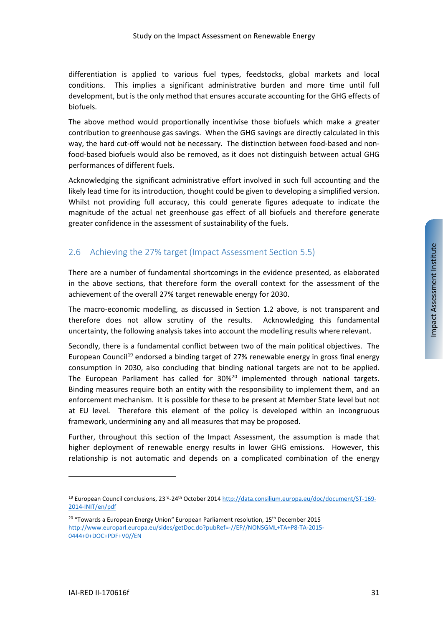differentiation is applied to various fuel types, feedstocks, global markets and local conditions. This implies a significant administrative burden and more time until full development, but is the only method that ensures accurate accounting for the GHG effects of biofuels.

The above method would proportionally incentivise those biofuels which make a greater contribution to greenhouse gas savings. When the GHG savings are directly calculated in this way, the hard cut-off would not be necessary. The distinction between food-based and nonfood-based biofuels would also be removed, as it does not distinguish between actual GHG performances of different fuels.

Acknowledging the significant administrative effort involved in such full accounting and the likely lead time for its introduction, thought could be given to developing a simplified version. Whilst not providing full accuracy, this could generate figures adequate to indicate the magnitude of the actual net greenhouse gas effect of all biofuels and therefore generate greater confidence in the assessment of sustainability of the fuels.

# <span id="page-30-0"></span>2.6 Achieving the 27% target (Impact Assessment Section 5.5)

There are a number of fundamental shortcomings in the evidence presented, as elaborated in the above sections, that therefore form the overall context for the assessment of the achievement of the overall 27% target renewable energy for 2030.

The macro-economic modelling, as discussed in Section [1.2](#page-6-0) above, is not transparent and therefore does not allow scrutiny of the results. Acknowledging this fundamental uncertainty, the following analysis takes into account the modelling results where relevant.

Secondly, there is a fundamental conflict between two of the main political objectives. The European Council<sup>[19](#page-30-1)</sup> endorsed a binding target of 27% renewable energy in gross final energy consumption in 2030, also concluding that binding national targets are not to be applied. The European Parliament has called for  $30\%^{20}$  $30\%^{20}$  $30\%^{20}$  implemented through national targets. Binding measures require both an entity with the responsibility to implement them, and an enforcement mechanism. It is possible for these to be present at Member State level but not at EU level. Therefore this element of the policy is developed within an incongruous framework, undermining any and all measures that may be proposed.

Further, throughout this section of the Impact Assessment, the assumption is made that higher deployment of renewable energy results in lower GHG emissions. However, this relationship is not automatic and depends on a complicated combination of the energy

<span id="page-30-1"></span><sup>&</sup>lt;sup>19</sup> European Council conclusions, 23<sup>rd</sup>-24<sup>th</sup> October 2014 [http://data.consilium.europa.eu/doc/document/ST-169-](http://data.consilium.europa.eu/doc/document/ST-169-2014-INIT/en/pdf) [2014-INIT/en/pdf](http://data.consilium.europa.eu/doc/document/ST-169-2014-INIT/en/pdf)

<span id="page-30-2"></span> $20$  "Towards a European Energy Union" European Parliament resolution,  $15<sup>th</sup>$  December 2015 [http://www.europarl.europa.eu/sides/getDoc.do?pubRef=-//EP//NONSGML+TA+P8-TA-2015-](http://www.europarl.europa.eu/sides/getDoc.do?pubRef=-//EP//NONSGML+TA+P8-TA-2015-0444+0+DOC+PDF+V0//EN) [0444+0+DOC+PDF+V0//EN](http://www.europarl.europa.eu/sides/getDoc.do?pubRef=-//EP//NONSGML+TA+P8-TA-2015-0444+0+DOC+PDF+V0//EN)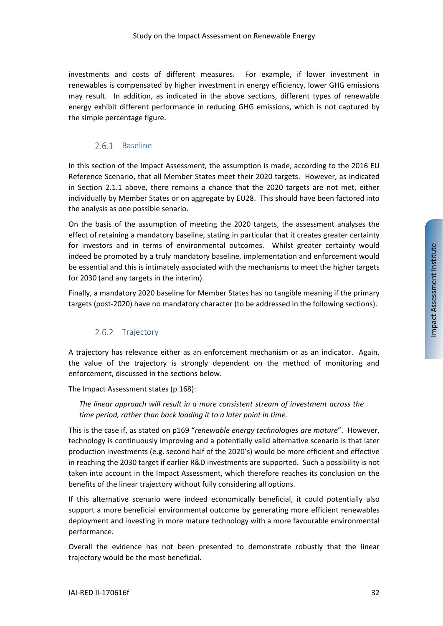investments and costs of different measures. For example, if lower investment in renewables is compensated by higher investment in energy efficiency, lower GHG emissions may result. In addition, as indicated in the above sections, different types of renewable energy exhibit different performance in reducing GHG emissions, which is not captured by the simple percentage figure.

#### 2.6.1 Baseline

In this section of the Impact Assessment, the assumption is made, according to the 2016 EU Reference Scenario, that all Member States meet their 2020 targets. However, as indicated in Section [2.1.1](#page-7-6) above, there remains a chance that the 2020 targets are not met, either individually by Member States or on aggregate by EU28. This should have been factored into the analysis as one possible senario.

On the basis of the assumption of meeting the 2020 targets, the assessment analyses the effect of retaining a mandatory baseline, stating in particular that it creates greater certainty for investors and in terms of environmental outcomes. Whilst greater certainty would indeed be promoted by a truly mandatory baseline, implementation and enforcement would be essential and this is intimately associated with the mechanisms to meet the higher targets for 2030 (and any targets in the interim).

Finally, a mandatory 2020 baseline for Member States has no tangible meaning if the primary targets (post-2020) have no mandatory character (to be addressed in the following sections).

## 2.6.2 Trajectory

A trajectory has relevance either as an enforcement mechanism or as an indicator. Again, the value of the trajectory is strongly dependent on the method of monitoring and enforcement, discussed in the sections below.

The Impact Assessment states (p 168):

*The linear approach will result in a more consistent stream of investment across the time period, rather than back loading it to a later point in time.*

This is the case if, as stated on p169 "*renewable energy technologies are mature*". However, technology is continuously improving and a potentially valid alternative scenario is that later production investments (e.g. second half of the 2020's) would be more efficient and effective in reaching the 2030 target if earlier R&D investments are supported. Such a possibility is not taken into account in the Impact Assessment, which therefore reaches its conclusion on the benefits of the linear trajectory without fully considering all options.

If this alternative scenario were indeed economically beneficial, it could potentially also support a more beneficial environmental outcome by generating more efficient renewables deployment and investing in more mature technology with a more favourable environmental performance.

Overall the evidence has not been presented to demonstrate robustly that the linear trajectory would be the most beneficial.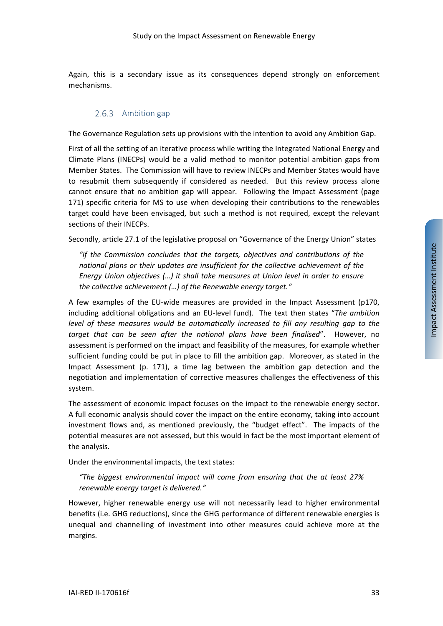Again, this is a secondary issue as its consequences depend strongly on enforcement mechanisms.

#### 2.6.3 Ambition gap

The Governance Regulation sets up provisions with the intention to avoid any Ambition Gap.

First of all the setting of an iterative process while writing the Integrated National Energy and Climate Plans (INECPs) would be a valid method to monitor potential ambition gaps from Member States. The Commission will have to review INECPs and Member States would have to resubmit them subsequently if considered as needed. But this review process alone cannot ensure that no ambition gap will appear. Following the Impact Assessment (page 171) specific criteria for MS to use when developing their contributions to the renewables target could have been envisaged, but such a method is not required, except the relevant sections of their INECPs.

Secondly, article 27.1 of the legislative proposal on "Governance of the Energy Union" states

*"if the Commission concludes that the targets, objectives and contributions of the national plans or their updates are insufficient for the collective achievement of the Energy Union objectives (…) it shall take measures at Union level in order to ensure the collective achievement (…) of the Renewable energy target."*

A few examples of the EU-wide measures are provided in the Impact Assessment (p170, including additional obligations and an EU-level fund). The text then states "*The ambition level of these measures would be automatically increased to fill any resulting gap to the target that can be seen after the national plans have been finalised*". However, no assessment is performed on the impact and feasibility of the measures, for example whether sufficient funding could be put in place to fill the ambition gap. Moreover, as stated in the Impact Assessment (p. 171), a time lag between the ambition gap detection and the negotiation and implementation of corrective measures challenges the effectiveness of this system.

The assessment of economic impact focuses on the impact to the renewable energy sector. A full economic analysis should cover the impact on the entire economy, taking into account investment flows and, as mentioned previously, the "budget effect". The impacts of the potential measures are not assessed, but this would in fact be the most important element of the analysis.

Under the environmental impacts, the text states:

*"The biggest environmental impact will come from ensuring that the at least 27% renewable energy target is delivered."*

However, higher renewable energy use will not necessarily lead to higher environmental benefits (i.e. GHG reductions), since the GHG performance of different renewable energies is unequal and channelling of investment into other measures could achieve more at the margins.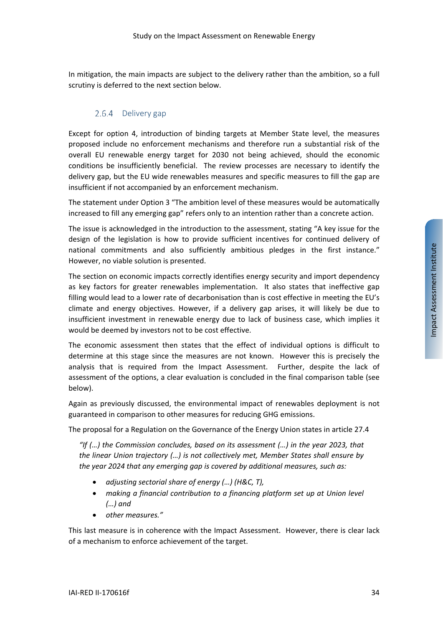In mitigation, the main impacts are subject to the delivery rather than the ambition, so a full scrutiny is deferred to the next section below.

## 2.6.4 Delivery gap

Except for option 4, introduction of binding targets at Member State level, the measures proposed include no enforcement mechanisms and therefore run a substantial risk of the overall EU renewable energy target for 2030 not being achieved, should the economic conditions be insufficiently beneficial. The review processes are necessary to identify the delivery gap, but the EU wide renewables measures and specific measures to fill the gap are insufficient if not accompanied by an enforcement mechanism.

The statement under Option 3 "The ambition level of these measures would be automatically increased to fill any emerging gap" refers only to an intention rather than a concrete action.

The issue is acknowledged in the introduction to the assessment, stating "A key issue for the design of the legislation is how to provide sufficient incentives for continued delivery of national commitments and also sufficiently ambitious pledges in the first instance." However, no viable solution is presented.

The section on economic impacts correctly identifies energy security and import dependency as key factors for greater renewables implementation. It also states that ineffective gap filling would lead to a lower rate of decarbonisation than is cost effective in meeting the EU's climate and energy objectives. However, if a delivery gap arises, it will likely be due to insufficient investment in renewable energy due to lack of business case, which implies it would be deemed by investors not to be cost effective.

The economic assessment then states that the effect of individual options is difficult to determine at this stage since the measures are not known. However this is precisely the analysis that is required from the Impact Assessment. Further, despite the lack of assessment of the options, a clear evaluation is concluded in the final comparison table (see below).

Again as previously discussed, the environmental impact of renewables deployment is not guaranteed in comparison to other measures for reducing GHG emissions.

The proposal for a Regulation on the Governance of the Energy Union states in article 27.4

*"If (…) the Commission concludes, based on its assessment (…) in the year 2023, that the linear Union trajectory (…) is not collectively met, Member States shall ensure by the year 2024 that any emerging gap is covered by additional measures, such as:* 

- *adjusting sectorial share of energy (…) (H&C, T),*
- *making a financial contribution to a financing platform set up at Union level (…) and*
- *other measures."*

This last measure is in coherence with the Impact Assessment. However, there is clear lack of a mechanism to enforce achievement of the target.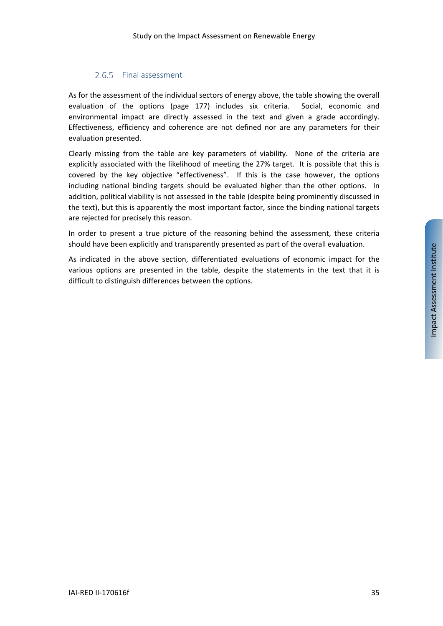## 2.6.5 Final assessment

As for the assessment of the individual sectors of energy above, the table showing the overall evaluation of the options (page 177) includes six criteria. Social, economic and environmental impact are directly assessed in the text and given a grade accordingly. Effectiveness, efficiency and coherence are not defined nor are any parameters for their evaluation presented.

Clearly missing from the table are key parameters of viability. None of the criteria are explicitly associated with the likelihood of meeting the 27% target. It is possible that this is covered by the key objective "effectiveness". If this is the case however, the options including national binding targets should be evaluated higher than the other options. In addition, political viability is not assessed in the table (despite being prominently discussed in the text), but this is apparently the most important factor, since the binding national targets are rejected for precisely this reason.

In order to present a true picture of the reasoning behind the assessment, these criteria should have been explicitly and transparently presented as part of the overall evaluation.

As indicated in the above section, differentiated evaluations of economic impact for the various options are presented in the table, despite the statements in the text that it is difficult to distinguish differences between the options.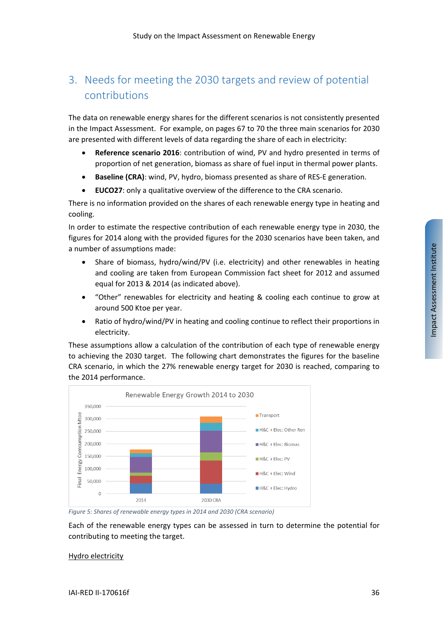# <span id="page-35-0"></span>3. Needs for meeting the 2030 targets and review of potential contributions

The data on renewable energy shares for the different scenarios is not consistently presented in the Impact Assessment. For example, on pages 67 to 70 the three main scenarios for 2030 are presented with different levels of data regarding the share of each in electricity:

- **Reference scenario 2016**: contribution of wind, PV and hydro presented in terms of proportion of net generation, biomass as share of fuel input in thermal power plants.
- **Baseline (CRA)**: wind, PV, hydro, biomass presented as share of RES-E generation.
- **EUCO27**: only a qualitative overview of the difference to the CRA scenario.

There is no information provided on the shares of each renewable energy type in heating and cooling.

In order to estimate the respective contribution of each renewable energy type in 2030, the figures for 2014 along with the provided figures for the 2030 scenarios have been taken, and a number of assumptions made:

- Share of biomass, hydro/wind/PV (i.e. electricity) and other renewables in heating and cooling are taken from European Commission fact sheet for 2012 and assumed equal for 2013 & 2014 (as indicated above).
- "Other" renewables for electricity and heating & cooling each continue to grow at around 500 Ktoe per year.
- Ratio of hydro/wind/PV in heating and cooling continue to reflect their proportions in electricity.

These assumptions allow a calculation of the contribution of each type of renewable energy to achieving the 2030 target. The following chart demonstrates the figures for the baseline CRA scenario, in which the 27% renewable energy target for 2030 is reached, comparing to the 2014 performance.



*Figure 5: Shares of renewable energy types in 2014 and 2030 (CRA scenario)*

Each of the renewable energy types can be assessed in turn to determine the potential for contributing to meeting the target.

#### Hydro electricity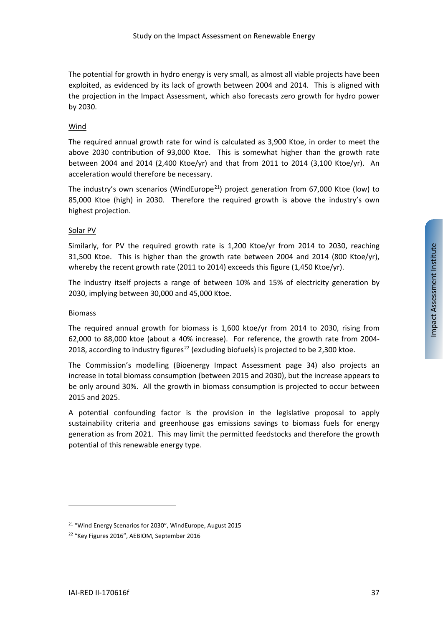The potential for growth in hydro energy is very small, as almost all viable projects have been exploited, as evidenced by its lack of growth between 2004 and 2014. This is aligned with the projection in the Impact Assessment, which also forecasts zero growth for hydro power by 2030.

#### Wind

The required annual growth rate for wind is calculated as 3,900 Ktoe, in order to meet the above 2030 contribution of 93,000 Ktoe. This is somewhat higher than the growth rate between 2004 and 2014 (2,400 Ktoe/yr) and that from 2011 to 2014 (3,100 Ktoe/yr). An acceleration would therefore be necessary.

The industry's own scenarios (WindEurope<sup>[21](#page-36-0)</sup>) project generation from 67,000 Ktoe (low) to 85,000 Ktoe (high) in 2030. Therefore the required growth is above the industry's own highest projection.

#### Solar PV

Similarly, for PV the required growth rate is 1,200 Ktoe/yr from 2014 to 2030, reaching 31,500 Ktoe. This is higher than the growth rate between 2004 and 2014 (800 Ktoe/yr), whereby the recent growth rate (2011 to 2014) exceeds this figure (1,450 Ktoe/yr).

The industry itself projects a range of between 10% and 15% of electricity generation by 2030, implying between 30,000 and 45,000 Ktoe.

#### Biomass

The required annual growth for biomass is 1,600 ktoe/yr from 2014 to 2030, rising from 62,000 to 88,000 ktoe (about a 40% increase). For reference, the growth rate from 2004- 2018, according to industry figures<sup>[22](#page-36-1)</sup> (excluding biofuels) is projected to be 2,300 ktoe.

The Commission's modelling (Bioenergy Impact Assessment page 34) also projects an increase in total biomass consumption (between 2015 and 2030), but the increase appears to be only around 30%. All the growth in biomass consumption is projected to occur between 2015 and 2025.

A potential confounding factor is the provision in the legislative proposal to apply sustainability criteria and greenhouse gas emissions savings to biomass fuels for energy generation as from 2021. This may limit the permitted feedstocks and therefore the growth potential of this renewable energy type.

<span id="page-36-0"></span><sup>21</sup> "Wind Energy Scenarios for 2030", WindEurope, August 2015

<span id="page-36-1"></span><sup>22</sup> "Key Figures 2016", AEBIOM, September 2016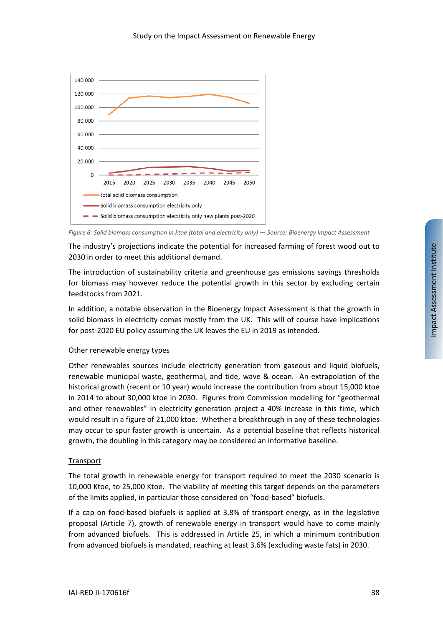

*Figure 6: Solid biomass consumption in ktoe (total and electricity only) — Source: Bioenergy Impact Assessment*

The industry's projections indicate the potential for increased farming of forest wood out to 2030 in order to meet this additional demand.

The introduction of sustainability criteria and greenhouse gas emissions savings thresholds for biomass may however reduce the potential growth in this sector by excluding certain feedstocks from 2021.

In addition, a notable observation in the Bioenergy Impact Assessment is that the growth in solid biomass in electricity comes mostly from the UK. This will of course have implications for post-2020 EU policy assuming the UK leaves the EU in 2019 as intended.

#### Other renewable energy types

Other renewables sources include electricity generation from gaseous and liquid biofuels, renewable municipal waste, geothermal, and tide, wave & ocean. An extrapolation of the historical growth (recent or 10 year) would increase the contribution from about 15,000 ktoe in 2014 to about 30,000 ktoe in 2030. Figures from Commission modelling for "geothermal and other renewables" in electricity generation project a 40% increase in this time, which would result in a figure of 21,000 ktoe. Whether a breakthrough in any of these technologies may occur to spur faster growth is uncertain. As a potential baseline that reflects historical growth, the doubling in this category may be considered an informative baseline.

#### **Transport**

The total growth in renewable energy for transport required to meet the 2030 scenario is 10,000 Ktoe, to 25,000 Ktoe. The viability of meeting this target depends on the parameters of the limits applied, in particular those considered on "food-based" biofuels.

If a cap on food-based biofuels is applied at 3.8% of transport energy, as in the legislative proposal (Article 7), growth of renewable energy in transport would have to come mainly from advanced biofuels. This is addressed in Article 25, in which a minimum contribution from advanced biofuels is mandated, reaching at least 3.6% (excluding waste fats) in 2030.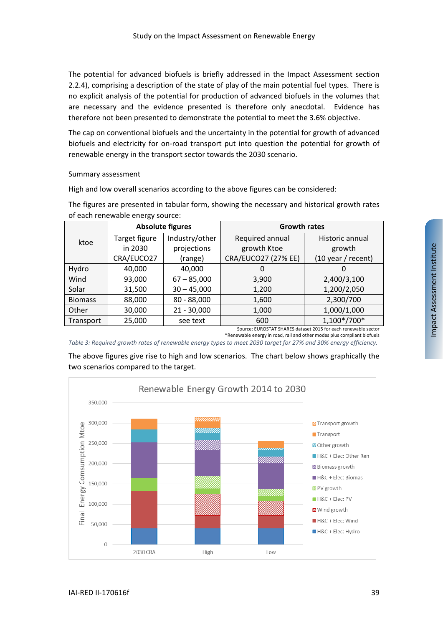The potential for advanced biofuels is briefly addressed in the Impact Assessment section 2.2.4), comprising a description of the state of play of the main potential fuel types. There is no explicit analysis of the potential for production of advanced biofuels in the volumes that are necessary and the evidence presented is therefore only anecdotal. Evidence has therefore not been presented to demonstrate the potential to meet the 3.6% objective.

The cap on conventional biofuels and the uncertainty in the potential for growth of advanced biofuels and electricity for on-road transport put into question the potential for growth of renewable energy in the transport sector towards the 2030 scenario.

#### Summary assessment

High and low overall scenarios according to the above figures can be considered:

|                |               | <b>Absolute figures</b> | <b>Growth rates</b>        |                                      |  |
|----------------|---------------|-------------------------|----------------------------|--------------------------------------|--|
| ktoe           | Target figure | Industry/other          | Required annual            | Historic annual                      |  |
|                | in 2030       | projections             | growth Ktoe                | growth                               |  |
|                | CRA/EUCO27    | (range)                 | <b>CRA/EUCO27 (27% EE)</b> | $(10 \text{ year} / \text{ recent})$ |  |
| Hydro          | 40,000        | 40,000                  | 0                          |                                      |  |
| Wind           | 93,000        | $67 - 85,000$           | 3,900                      | 2,400/3,100                          |  |
| Solar          | 31,500        | $30 - 45,000$           | 1,200                      | 1,200/2,050                          |  |
| <b>Biomass</b> | 88,000        | $80 - 88,000$           | 1,600                      | 2,300/700                            |  |
| Other          | 30,000        | $21 - 30,000$           | 1,000                      | 1,000/1,000                          |  |
| Transport      | 25,000        | see text                | 600                        | 1,100*/700*                          |  |

The figures are presented in tabular form, showing the necessary and historical growth rates of each renewable energy source:

> Source: EUROSTAT SHARES dataset 2015 for each renewable sector \*Renewable energy in road, rail and other modes plus compliant biofuels

*Table 3: Required growth rates of renewable energy types to meet 2030 target for 27% and 30% energy efficiency.* 

The above figures give rise to high and low scenarios. The chart below shows graphically the two scenarios compared to the target.

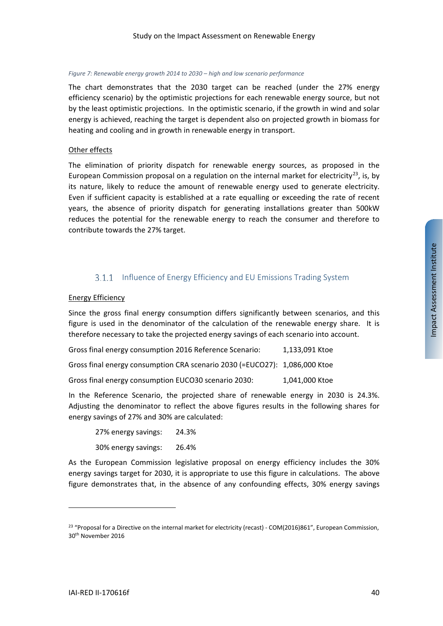#### *Figure 7: Renewable energy growth 2014 to 2030 – high and low scenario performance*

The chart demonstrates that the 2030 target can be reached (under the 27% energy efficiency scenario) by the optimistic projections for each renewable energy source, but not by the least optimistic projections. In the optimistic scenario, if the growth in wind and solar energy is achieved, reaching the target is dependent also on projected growth in biomass for heating and cooling and in growth in renewable energy in transport.

#### Other effects

The elimination of priority dispatch for renewable energy sources, as proposed in the European Commission proposal on a regulation on the internal market for electricity<sup>[23](#page-39-0)</sup>, is, by its nature, likely to reduce the amount of renewable energy used to generate electricity. Even if sufficient capacity is established at a rate equalling or exceeding the rate of recent years, the absence of priority dispatch for generating installations greater than 500kW reduces the potential for the renewable energy to reach the consumer and therefore to contribute towards the 27% target.

## **3.1.1** Influence of Energy Efficiency and EU Emissions Trading System

#### Energy Efficiency

Since the gross final energy consumption differs significantly between scenarios, and this figure is used in the denominator of the calculation of the renewable energy share. It is therefore necessary to take the projected energy savings of each scenario into account.

Gross final energy consumption 2016 Reference Scenario: 1,133,091 Ktoe

Gross final energy consumption CRA scenario 2030 (=EUCO27): 1,086,000 Ktoe

Gross final energy consumption EUCO30 scenario 2030: 1,041,000 Ktoe

In the Reference Scenario, the projected share of renewable energy in 2030 is 24.3%. Adjusting the denominator to reflect the above figures results in the following shares for energy savings of 27% and 30% are calculated:

| 27% energy savings: | 24.3% |
|---------------------|-------|
| 30% energy savings: | 26.4% |

As the European Commission legislative proposal on energy efficiency includes the 30% energy savings target for 2030, it is appropriate to use this figure in calculations. The above figure demonstrates that, in the absence of any confounding effects, 30% energy savings

<span id="page-39-0"></span><sup>&</sup>lt;sup>23</sup> "Proposal for a Directive on the internal market for electricity (recast) - COM(2016)861", European Commission, 30th November 2016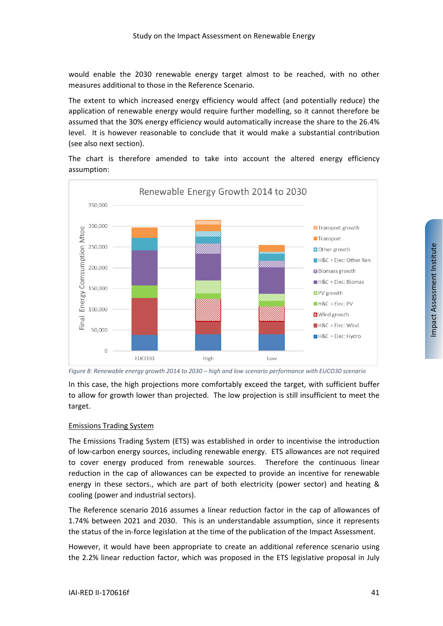would enable the 2030 renewable energy target almost to be reached, with no other measures additional to those in the Reference Scenario.

The extent to which increased energy efficiency would affect (and potentially reduce) the application of renewable energy would require further modelling, so it cannot therefore be assumed that the 30% energy efficiency would automatically increase the share to the 26.4% level. It is however reasonable to conclude that it would make a substantial contribution (see also next section).



The chart is therefore amended to take into account the altered energy efficiency assumption:

In this case, the high projections more comfortably exceed the target, with sufficient buffer to allow for growth lower than projected. The low projection is still insufficient to meet the target.

#### Emissions Trading System

The Emissions Trading System (ETS) was established in order to incentivise the introduction of low-carbon energy sources, including renewable energy. ETS allowances are not required to cover energy produced from renewable sources. Therefore the continuous linear reduction in the cap of allowances can be expected to provide an incentive for renewable energy in these sectors., which are part of both electricity (power sector) and heating & cooling (power and industrial sectors).

The Reference scenario 2016 assumes a linear reduction factor in the cap of allowances of 1.74% between 2021 and 2030. This is an understandable assumption, since it represents the status of the in-force legislation at the time of the publication of the Impact Assessment.

However, it would have been appropriate to create an additional reference scenario using the 2.2% linear reduction factor, which was proposed in the ETS legislative proposal in July

*Figure 8: Renewable energy growth 2014 to 2030 – high and low scenario performance with EUCO30 scenario*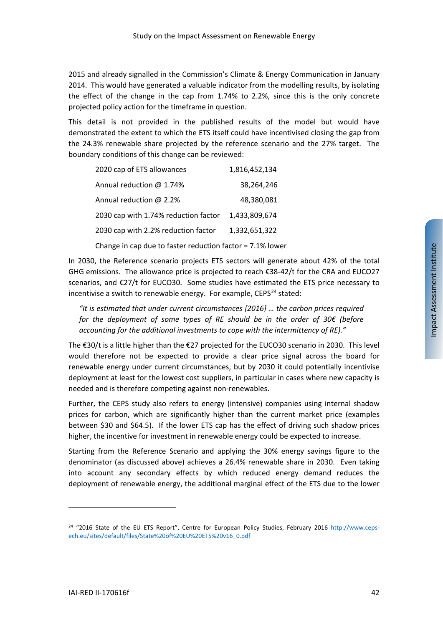2015 and already signalled in the Commission's Climate & Energy Communication in January 2014. This would have generated a valuable indicator from the modelling results, by isolating the effect of the change in the cap from 1.74% to 2.2%, since this is the only concrete projected policy action for the timeframe in question.

This detail is not provided in the published results of the model but would have demonstrated the extent to which the ETS itself could have incentivised closing the gap from the 24.3% renewable share projected by the reference scenario and the 27% target. The boundary conditions of this change can be reviewed:

| 2020 cap of ETS allowances                                | 1,816,452,134 |  |  |  |
|-----------------------------------------------------------|---------------|--|--|--|
| Annual reduction @ 1.74%                                  | 38,264,246    |  |  |  |
| Annual reduction @ 2.2%                                   | 48,380,081    |  |  |  |
| 2030 cap with 1.74% reduction factor                      | 1.433.809.674 |  |  |  |
| 2030 cap with 2.2% reduction factor                       | 1.332.651.322 |  |  |  |
| Change in cap due to faster reduction factor = 7.1% lower |               |  |  |  |

In 2030, the Reference scenario projects ETS sectors will generate about 42% of the total GHG emissions. The allowance price is projected to reach €38-42/t for the CRA and EUCO27 scenarios, and €27/t for EUCO30. Some studies have estimated the ETS price necessary to incentivise a switch to renewable energy. For example,  $CEPS<sup>24</sup>$  $CEPS<sup>24</sup>$  $CEPS<sup>24</sup>$  stated:

*"It is estimated that under current circumstances [2016] … the carbon prices required for the deployment of some types of RE should be in the order of 30€ (before accounting for the additional investments to cope with the intermittency of RE)."*

The €30/t is a little higher than the €27 projected for the EUCO30 scenario in 2030. This level would therefore not be expected to provide a clear price signal across the board for renewable energy under current circumstances, but by 2030 it could potentially incentivise deployment at least for the lowest cost suppliers, in particular in cases where new capacity is needed and is therefore competing against non-renewables.

Further, the CEPS study also refers to energy (intensive) companies using internal shadow prices for carbon, which are significantly higher than the current market price (examples between \$30 and \$64.5). If the lower ETS cap has the effect of driving such shadow prices higher, the incentive for investment in renewable energy could be expected to increase.

Starting from the Reference Scenario and applying the 30% energy savings figure to the denominator (as discussed above) achieves a 26.4% renewable share in 2030. Even taking into account any secondary effects by which reduced energy demand reduces the deployment of renewable energy, the additional marginal effect of the ETS due to the lower

<span id="page-41-0"></span><sup>&</sup>lt;sup>24</sup> "2016 State of the EU ETS Report", Centre for European Policy Studies, February 2016 [http://www.ceps](http://www.ceps-ech.eu/sites/default/files/State%20of%20EU%20ETS%20v16_0.pdf)[ech.eu/sites/default/files/State%20of%20EU%20ETS%20v16\\_0.pdf](http://www.ceps-ech.eu/sites/default/files/State%20of%20EU%20ETS%20v16_0.pdf)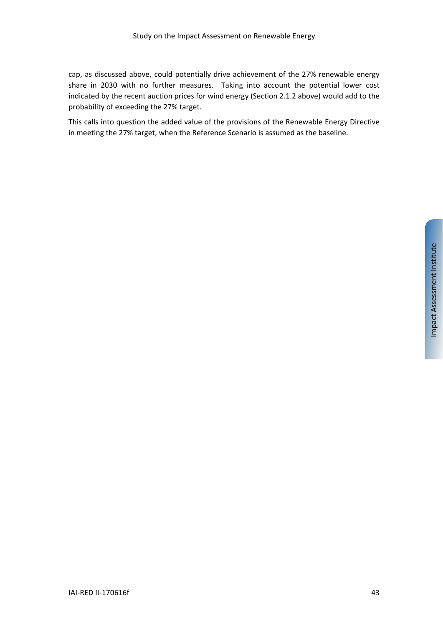cap, as discussed above, could potentially drive achievement of the 27% renewable energy share in 2030 with no further measures. Taking into account the potential lower cost indicated by the recent auction prices for wind energy (Sectio[n 2.1.2](#page-9-1) above) would add to the probability of exceeding the 27% target.

This calls into question the added value of the provisions of the Renewable Energy Directive in meeting the 27% target, when the Reference Scenario is assumed as the baseline.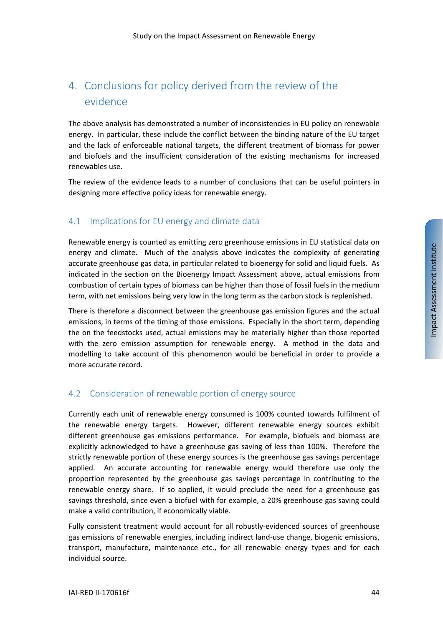# <span id="page-43-0"></span>4. Conclusions for policy derived from the review of the evidence

The above analysis has demonstrated a number of inconsistencies in EU policy on renewable energy. In particular, these include the conflict between the binding nature of the EU target and the lack of enforceable national targets, the different treatment of biomass for power and biofuels and the insufficient consideration of the existing mechanisms for increased renewables use.

The review of the evidence leads to a number of conclusions that can be useful pointers in designing more effective policy ideas for renewable energy.

# 4.1 Implications for EU energy and climate data

Renewable energy is counted as emitting zero greenhouse emissions in EU statistical data on energy and climate. Much of the analysis above indicates the complexity of generating accurate greenhouse gas data, in particular related to bioenergy for solid and liquid fuels. As indicated in the section on the Bioenergy Impact Assessment above, actual emissions from combustion of certain types of biomass can be higher than those of fossil fuels in the medium term, with net emissions being very low in the long term as the carbon stock is replenished.

There is therefore a disconnect between the greenhouse gas emission figures and the actual emissions, in terms of the timing of those emissions. Especially in the short term, depending the on the feedstocks used, actual emissions may be materially higher than those reported with the zero emission assumption for renewable energy. A method in the data and modelling to take account of this phenomenon would be beneficial in order to provide a more accurate record.

## <span id="page-43-1"></span>4.2 Consideration of renewable portion of energy source

Currently each unit of renewable energy consumed is 100% counted towards fulfilment of the renewable energy targets. However, different renewable energy sources exhibit different greenhouse gas emissions performance. For example, biofuels and biomass are explicitly acknowledged to have a greenhouse gas saving of less than 100%. Therefore the strictly renewable portion of these energy sources is the greenhouse gas savings percentage applied. An accurate accounting for renewable energy would therefore use only the proportion represented by the greenhouse gas savings percentage in contributing to the renewable energy share. If so applied, it would preclude the need for a greenhouse gas savings threshold, since even a biofuel with for example, a 20% greenhouse gas saving could make a valid contribution, if economically viable.

Fully consistent treatment would account for all robustly-evidenced sources of greenhouse gas emissions of renewable energies, including indirect land-use change, biogenic emissions, transport, manufacture, maintenance etc., for all renewable energy types and for each individual source.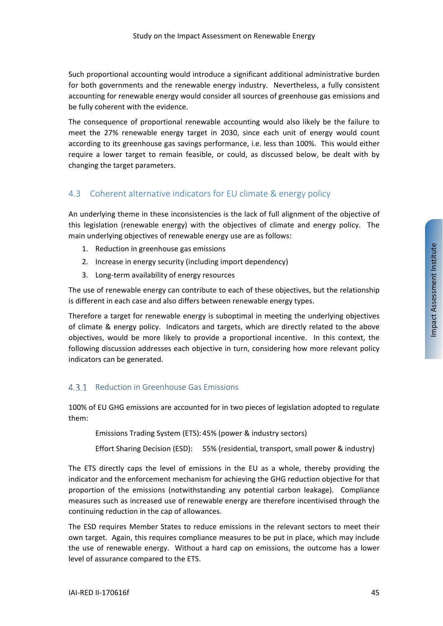Such proportional accounting would introduce a significant additional administrative burden for both governments and the renewable energy industry. Nevertheless, a fully consistent accounting for renewable energy would consider all sources of greenhouse gas emissions and be fully coherent with the evidence.

The consequence of proportional renewable accounting would also likely be the failure to meet the 27% renewable energy target in 2030, since each unit of energy would count according to its greenhouse gas savings performance, i.e. less than 100%. This would either require a lower target to remain feasible, or could, as discussed below, be dealt with by changing the target parameters.

# <span id="page-44-0"></span>4.3 Coherent alternative indicators for EU climate & energy policy

An underlying theme in these inconsistencies is the lack of full alignment of the objective of this legislation (renewable energy) with the objectives of climate and energy policy. The main underlying objectives of renewable energy use are as follows:

- 1. Reduction in greenhouse gas emissions
- 2. Increase in energy security (including import dependency)
- 3. Long-term availability of energy resources

The use of renewable energy can contribute to each of these objectives, but the relationship is different in each case and also differs between renewable energy types.

Therefore a target for renewable energy is suboptimal in meeting the underlying objectives of climate & energy policy. Indicators and targets, which are directly related to the above objectives, would be more likely to provide a proportional incentive. In this context, the following discussion addresses each objective in turn, considering how more relevant policy indicators can be generated.

## 4.3.1 Reduction in Greenhouse Gas Emissions

100% of EU GHG emissions are accounted for in two pieces of legislation adopted to regulate them:

Emissions Trading System (ETS): 45% (power & industry sectors)

Effort Sharing Decision (ESD): 55% (residential, transport, small power & industry)

The ETS directly caps the level of emissions in the EU as a whole, thereby providing the indicator and the enforcement mechanism for achieving the GHG reduction objective for that proportion of the emissions (notwithstanding any potential carbon leakage). Compliance measures such as increased use of renewable energy are therefore incentivised through the continuing reduction in the cap of allowances.

The ESD requires Member States to reduce emissions in the relevant sectors to meet their own target. Again, this requires compliance measures to be put in place, which may include the use of renewable energy. Without a hard cap on emissions, the outcome has a lower level of assurance compared to the ETS.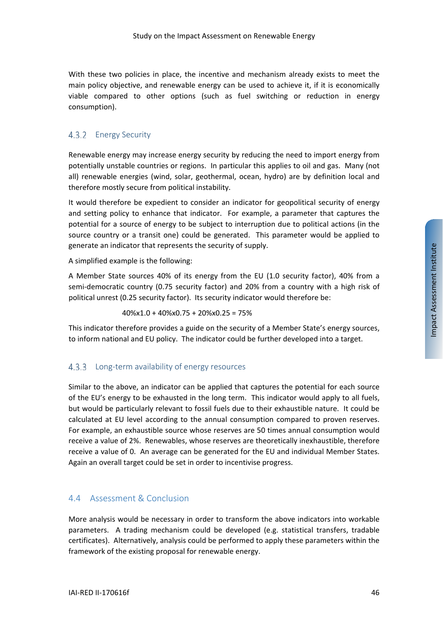With these two policies in place, the incentive and mechanism already exists to meet the main policy objective, and renewable energy can be used to achieve it, if it is economically viable compared to other options (such as fuel switching or reduction in energy consumption).

# 4.3.2 Energy Security

Renewable energy may increase energy security by reducing the need to import energy from potentially unstable countries or regions. In particular this applies to oil and gas. Many (not all) renewable energies (wind, solar, geothermal, ocean, hydro) are by definition local and therefore mostly secure from political instability.

It would therefore be expedient to consider an indicator for geopolitical security of energy and setting policy to enhance that indicator. For example, a parameter that captures the potential for a source of energy to be subject to interruption due to political actions (in the source country or a transit one) could be generated. This parameter would be applied to generate an indicator that represents the security of supply.

A simplified example is the following:

A Member State sources 40% of its energy from the EU (1.0 security factor), 40% from a semi-democratic country (0.75 security factor) and 20% from a country with a high risk of political unrest (0.25 security factor). Its security indicator would therefore be:

40%x1.0 + 40%x0.75 + 20%x0.25 = 75%

This indicator therefore provides a guide on the security of a Member State's energy sources, to inform national and EU policy. The indicator could be further developed into a target.

## 4.3.3 Long-term availability of energy resources

Similar to the above, an indicator can be applied that captures the potential for each source of the EU's energy to be exhausted in the long term. This indicator would apply to all fuels, but would be particularly relevant to fossil fuels due to their exhaustible nature. It could be calculated at EU level according to the annual consumption compared to proven reserves. For example, an exhaustible source whose reserves are 50 times annual consumption would receive a value of 2%. Renewables, whose reserves are theoretically inexhaustible, therefore receive a value of 0. An average can be generated for the EU and individual Member States. Again an overall target could be set in order to incentivise progress.

## <span id="page-45-0"></span>4.4 Assessment & Conclusion

More analysis would be necessary in order to transform the above indicators into workable parameters. A trading mechanism could be developed (e.g. statistical transfers, tradable certificates). Alternatively, analysis could be performed to apply these parameters within the framework of the existing proposal for renewable energy.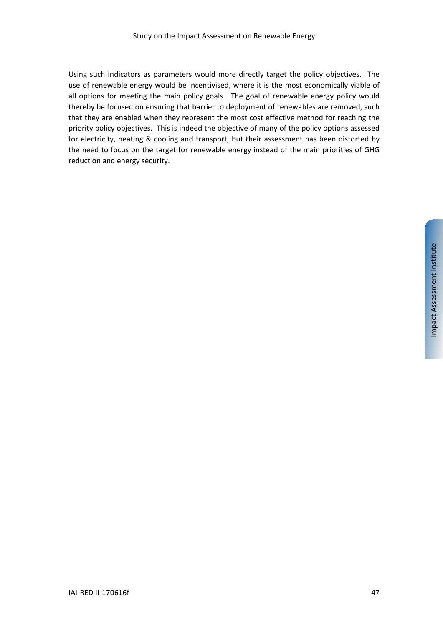Using such indicators as parameters would more directly target the policy objectives. The use of renewable energy would be incentivised, where it is the most economically viable of all options for meeting the main policy goals. The goal of renewable energy policy would thereby be focused on ensuring that barrier to deployment of renewables are removed, such that they are enabled when they represent the most cost effective method for reaching the priority policy objectives. This is indeed the objective of many of the policy options assessed for electricity, heating & cooling and transport, but their assessment has been distorted by the need to focus on the target for renewable energy instead of the main priorities of GHG reduction and energy security.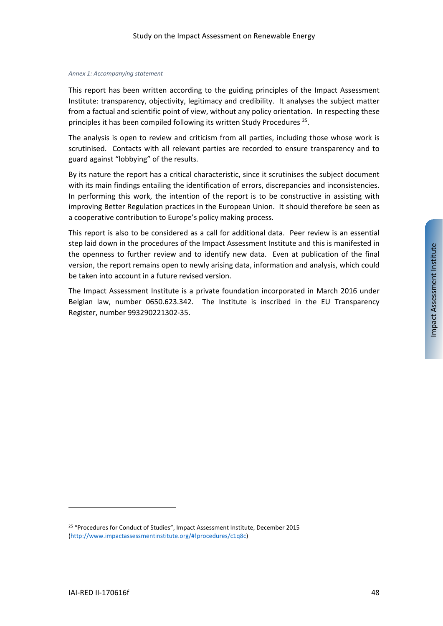#### *Annex 1: Accompanying statement*

This report has been written according to the guiding principles of the Impact Assessment Institute: transparency, objectivity, legitimacy and credibility. It analyses the subject matter from a factual and scientific point of view, without any policy orientation. In respecting these principles it has been compiled following its written Study Procedures [25](#page-47-0).

The analysis is open to review and criticism from all parties, including those whose work is scrutinised. Contacts with all relevant parties are recorded to ensure transparency and to guard against "lobbying" of the results.

By its nature the report has a critical characteristic, since it scrutinises the subject document with its main findings entailing the identification of errors, discrepancies and inconsistencies. In performing this work, the intention of the report is to be constructive in assisting with improving Better Regulation practices in the European Union. It should therefore be seen as a cooperative contribution to Europe's policy making process.

This report is also to be considered as a call for additional data. Peer review is an essential step laid down in the procedures of the Impact Assessment Institute and this is manifested in the openness to further review and to identify new data. Even at publication of the final version, the report remains open to newly arising data, information and analysis, which could be taken into account in a future revised version.

The Impact Assessment Institute is a private foundation incorporated in March 2016 under Belgian law, number 0650.623.342. The Institute is inscribed in the EU Transparency Register, number 993290221302-35.

<span id="page-47-0"></span><sup>&</sup>lt;sup>25</sup> "Procedures for Conduct of Studies", Impact Assessment Institute, December 2015 [\(http://www.impactassessmentinstitute.org/#!procedures/c1q8c\)](http://www.impactassessmentinstitute.org/#!procedures/c1q8c)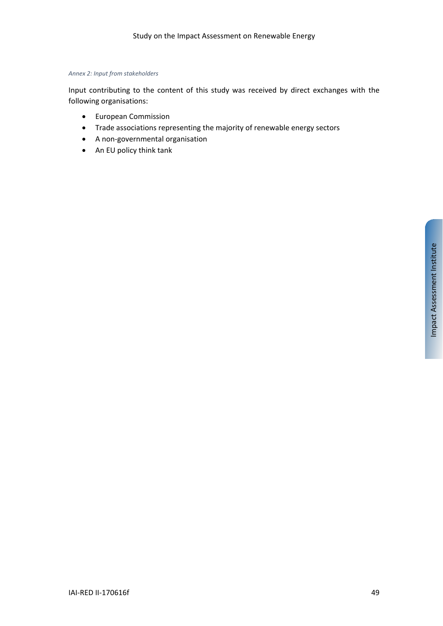#### *Annex 2: Input from stakeholders*

Input contributing to the content of this study was received by direct exchanges with the following organisations:

- European Commission
- Trade associations representing the majority of renewable energy sectors
- A non-governmental organisation
- An EU policy think tank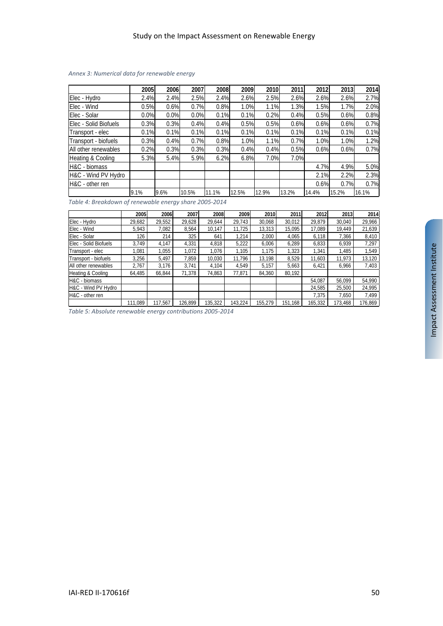|                       | 2005 | 2006 | 2007  | 2008  | 2009  | 2010  | 2011  | 2012  | 2013  | 2014  |
|-----------------------|------|------|-------|-------|-------|-------|-------|-------|-------|-------|
| Elec - Hydro          | 2.4% | 2.4% | 2.5%  | 2.4%  | 2.6%  | 2.5%  | 2.6%  | 2.6%  | 2.6%  | 2.7%  |
| IElec - Wind          | 0.5% | 0.6% | 0.7%  | 0.8%  | 1.0%  | 1.1%  | 1.3%  | 1.5%  | 1.7%  | 2.0%  |
| Elec - Solar          | 0.0% | 0.0% | 0.0%  | 0.1%  | 0.1%  | 0.2%  | 0.4%  | 0.5%  | 0.6%  | 0.8%  |
| Elec - Solid Biofuels | 0.3% | 0.3% | 0.4%  | 0.4%  | 0.5%  | 0.5%  | 0.6%  | 0.6%  | 0.6%  | 0.7%  |
| Transport - elec      | 0.1% | 0.1% | 0.1%  | 0.1%  | 0.1%  | 0.1%  | 0.1%  | 0.1%  | 0.1%  | 0.1%  |
| Transport - biofuels  | 0.3% | 0.4% | 0.7%  | 0.8%  | 1.0%  | 1.1%  | 0.7%  | 1.0%  | 1.0%  | 1.2%  |
| All other renewables  | 0.2% | 0.3% | 0.3%  | 0.3%  | 0.4%  | 0.4%  | 0.5%  | 0.6%  | 0.6%  | 0.7%  |
| Heating & Cooling     | 5.3% | 5.4% | 5.9%  | 6.2%  | 6.8%  | 7.0%  | 7.0%  |       |       |       |
| H&C - biomass         |      |      |       |       |       |       |       | 4.7%  | 4.9%  | 5.0%  |
| H&C - Wind PV Hydro   |      |      |       |       |       |       |       | 2.1%  | 2.2%  | 2.3%  |
| H&C - other ren       |      |      |       |       |       |       |       | 0.6%  | 0.7%  | 0.7%  |
|                       | 9.1% | 9.6% | 10.5% | 11.1% | 12.5% | 12.9% | 13.2% | 14.4% | 15.2% | 16.1% |

#### <span id="page-49-0"></span>*Annex 3: Numerical data for renewable energy*

*Table 4: Breakdown of renewable energy share 2005-2014*

|                       | 2005    | 2006    | 2007    | 2008    | 2009    | 2010    | 2011    | 2012    | 2013    | 2014    |
|-----------------------|---------|---------|---------|---------|---------|---------|---------|---------|---------|---------|
| Elec - Hydro          | 29,682  | 29,552  | 29,628  | 29,644  | 29.743  | 30,068  | 30.012  | 29.879  | 30.040  | 29,966  |
| Elec - Wind           | 5.943   | 7,082   | 8,564   | 10.147  | 11.725  | 13,313  | 15.095  | 17.089  | 19.449  | 21,639  |
| Elec - Solar          | 126     | 214     | 325     | 641     | 1.214   | 2.000   | 4.065   | 6.118   | 7.366   | 8,410   |
| Elec - Solid Biofuels | 3.749   | 4.147   | 4,331   | 4.818   | 5,222   | 6,006   | 6.289   | 6.833   | 6.939   | 7.297   |
| Transport - elec      | 1.081   | 1.055   | 1.072   | 1.076   | 1.105   | 1.175   | .323    | 1.341   | 1.485   | 1.549   |
| Transport - biofuels  | 3,256   | 5.497   | 7,859   | 10,030  | 11.796  | 13.198  | 8.529   | 11.603  | 11.973  | 13,120  |
| All other renewables  | 2.767   | 3.176   | 3.741   | 4.104   | 4.549   | 5.157   | 5.663   | 6.421   | 6,966   | 7,403   |
| Heating & Cooling     | 64,485  | 66,844  | 71.378  | 74,863  | 77.871  | 84,360  | 80,192  |         |         |         |
| H&C - biomass         |         |         |         |         |         |         |         | 54.087  | 56.099  | 54.990  |
| H&C - Wind PV Hydro   |         |         |         |         |         |         |         | 24.585  | 25.500  | 24,995  |
| H&C - other ren       |         |         |         |         |         |         |         | 7.375   | 7.650   | 7,499   |
|                       | 111.089 | 117.567 | 126.899 | 135,322 | 143.224 | 155.279 | 151,168 | 165,332 | 173,468 | 176.869 |

*Table 5: Absolute renewable energy contributions 2005-2014*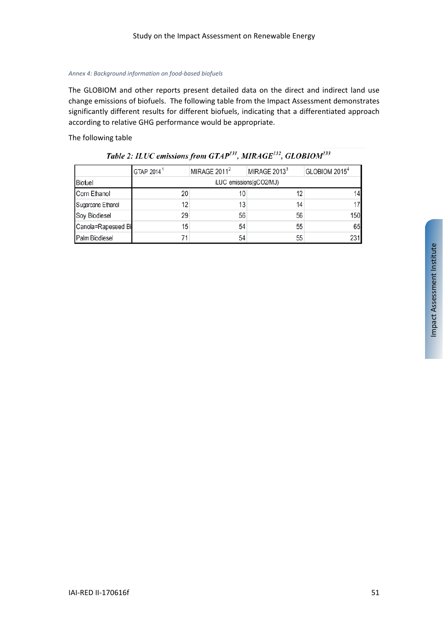#### <span id="page-50-0"></span>*Annex 4: Background information on food-based biofuels*

The GLOBIOM and other reports present detailed data on the direct and indirect land use change emissions of biofuels. The following table from the Impact Assessment demonstrates significantly different results for different biofuels, indicating that a differentiated approach according to relative GHG performance would be appropriate.

#### The following table

|                    | GTAP 2014 <sup>1</sup> | MIRAGE $2011^2$         | MIRAGE $2013^3$ | GLOBIOM 2015 <sup>4</sup> |  |  |  |  |  |
|--------------------|------------------------|-------------------------|-----------------|---------------------------|--|--|--|--|--|
| <b>Biofuel</b>     |                        | iLUC emissions(gCO2/MJ) |                 |                           |  |  |  |  |  |
| Corn Ethanol       | 20                     |                         | 12              |                           |  |  |  |  |  |
| Sugarcane Ethanol  | 12                     | 13                      | 14              |                           |  |  |  |  |  |
| Soy Biodiesel      | 29                     | 56                      | 56              | 150                       |  |  |  |  |  |
| Canola=Rapeseed Bi | 15                     | 54                      | 55              | 65                        |  |  |  |  |  |
| Palm Biodiesel     | 71                     | 54                      | 55              | 231                       |  |  |  |  |  |

| Table 2: ILUC emissions from GTAP <sup>131</sup> , MIRAGE <sup>132</sup> , GLOBIOM <sup>133</sup> |  |
|---------------------------------------------------------------------------------------------------|--|
|---------------------------------------------------------------------------------------------------|--|